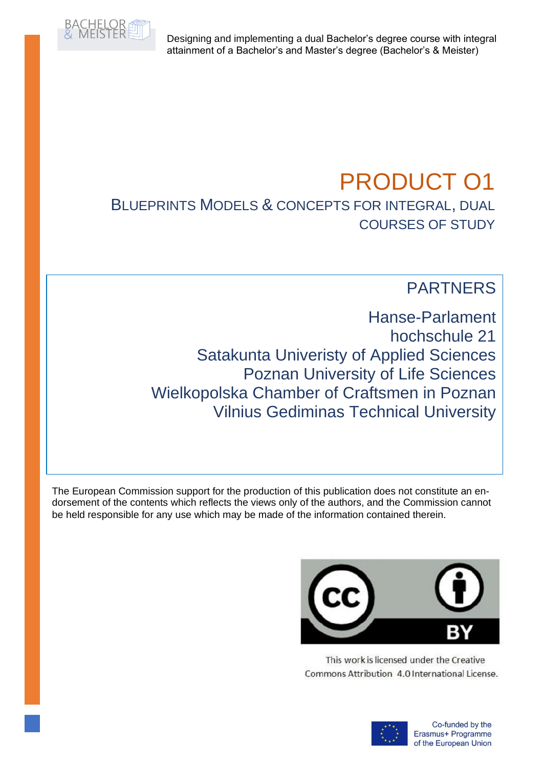

Designing and implementing a dual Bachelor's degree course with integral attainment of a Bachelor's and Master's degree (Bachelor's & Meister)

# PRODUCT O1 BLUEPRINTS MODELS & CONCEPTS FOR INTEGRAL, DUAL COURSES OF STUDY

# PARTNERS

Hanse-Parlament hochschule 21 Satakunta Univeristy of Applied Sciences Poznan University of Life Sciences Wielkopolska Chamber of Craftsmen in Poznan Vilnius Gediminas Technical University

The European Commission support for the production of this publication does not constitute an endorsement of the contents which reflects the views only of the authors, and the Commission cannot be held responsible for any use which may be made of the information contained therein.



This work is licensed under the Creative Commons Attribution 4.0 International License.

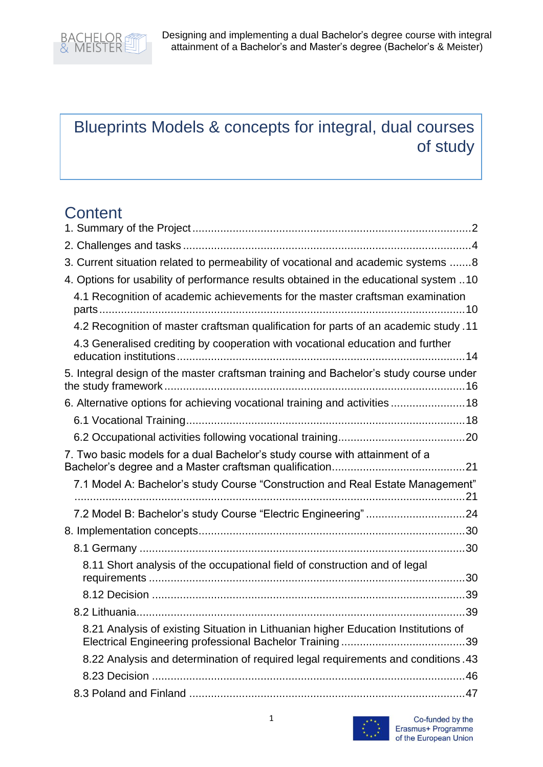

# Blueprints Models & concepts for integral, dual courses of study

# **Content**

| 3. Current situation related to permeability of vocational and academic systems  8    |
|---------------------------------------------------------------------------------------|
| 4. Options for usability of performance results obtained in the educational system 10 |
| 4.1 Recognition of academic achievements for the master craftsman examination         |
| 4.2 Recognition of master craftsman qualification for parts of an academic study .11  |
| 4.3 Generalised crediting by cooperation with vocational education and further        |
| 5. Integral design of the master craftsman training and Bachelor's study course under |
| 6. Alternative options for achieving vocational training and activities 18            |
|                                                                                       |
|                                                                                       |
| 7. Two basic models for a dual Bachelor's study course with attainment of a           |
| 7.1 Model A: Bachelor's study Course "Construction and Real Estate Management"        |
| 7.2 Model B: Bachelor's study Course "Electric Engineering" 24                        |
|                                                                                       |
|                                                                                       |
| 8.11 Short analysis of the occupational field of construction and of legal            |
|                                                                                       |
|                                                                                       |
| 8.21 Analysis of existing Situation in Lithuanian higher Education Institutions of    |
| 8.22 Analysis and determination of required legal requirements and conditions .43     |
|                                                                                       |
|                                                                                       |

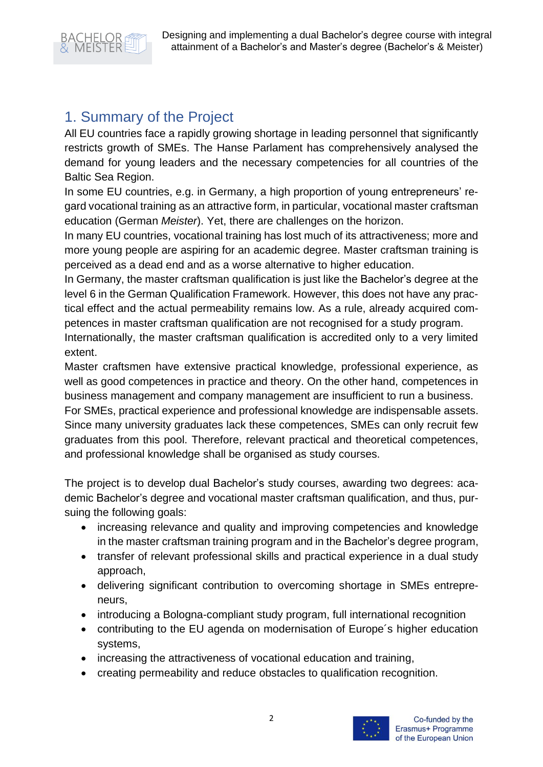

# <span id="page-2-0"></span>1. Summary of the Project

All EU countries face a rapidly growing shortage in leading personnel that significantly restricts growth of SMEs. The Hanse Parlament has comprehensively analysed the demand for young leaders and the necessary competencies for all countries of the Baltic Sea Region.

In some EU countries, e.g. in Germany, a high proportion of young entrepreneurs' regard vocational training as an attractive form, in particular, vocational master craftsman education (German *Meister*). Yet, there are challenges on the horizon.

In many EU countries, vocational training has lost much of its attractiveness; more and more young people are aspiring for an academic degree. Master craftsman training is perceived as a dead end and as a worse alternative to higher education.

In Germany, the master craftsman qualification is just like the Bachelor's degree at the level 6 in the German Qualification Framework. However, this does not have any practical effect and the actual permeability remains low. As a rule, already acquired competences in master craftsman qualification are not recognised for a study program.

Internationally, the master craftsman qualification is accredited only to a very limited extent.

Master craftsmen have extensive practical knowledge, professional experience, as well as good competences in practice and theory. On the other hand, competences in business management and company management are insufficient to run a business.

For SMEs, practical experience and professional knowledge are indispensable assets. Since many university graduates lack these competences, SMEs can only recruit few graduates from this pool. Therefore, relevant practical and theoretical competences, and professional knowledge shall be organised as study courses.

The project is to develop dual Bachelor's study courses, awarding two degrees: academic Bachelor's degree and vocational master craftsman qualification, and thus, pursuing the following goals:

- increasing relevance and quality and improving competencies and knowledge in the master craftsman training program and in the Bachelor's degree program,
- transfer of relevant professional skills and practical experience in a dual study approach,
- delivering significant contribution to overcoming shortage in SMEs entrepreneurs,
- introducing a Bologna-compliant study program, full international recognition
- contributing to the EU agenda on modernisation of Europe´s higher education systems,
- increasing the attractiveness of vocational education and training,
- creating permeability and reduce obstacles to qualification recognition.

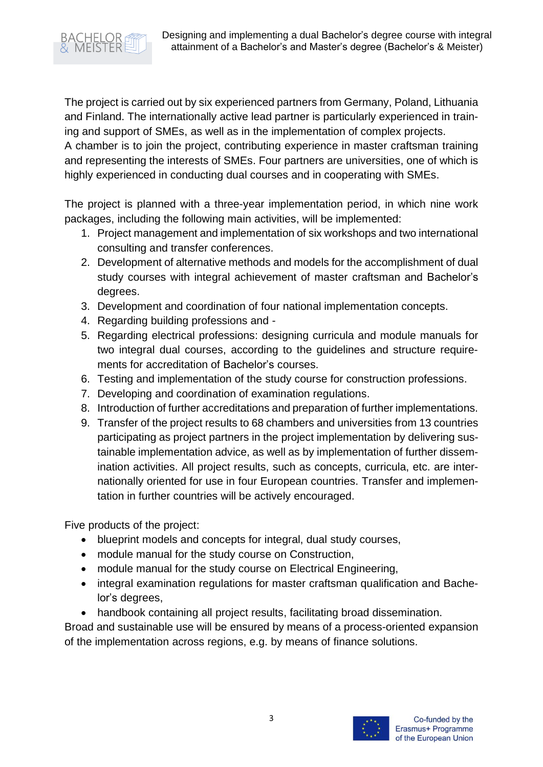

The project is carried out by six experienced partners from Germany, Poland, Lithuania and Finland. The internationally active lead partner is particularly experienced in training and support of SMEs, as well as in the implementation of complex projects.

A chamber is to join the project, contributing experience in master craftsman training and representing the interests of SMEs. Four partners are universities, one of which is highly experienced in conducting dual courses and in cooperating with SMEs.

The project is planned with a three-year implementation period, in which nine work packages, including the following main activities, will be implemented:

- 1. Project management and implementation of six workshops and two international consulting and transfer conferences.
- 2. Development of alternative methods and models for the accomplishment of dual study courses with integral achievement of master craftsman and Bachelor's degrees.
- 3. Development and coordination of four national implementation concepts.
- 4. Regarding building professions and -
- 5. Regarding electrical professions: designing curricula and module manuals for two integral dual courses, according to the guidelines and structure requirements for accreditation of Bachelor's courses.
- 6. Testing and implementation of the study course for construction professions.
- 7. Developing and coordination of examination regulations.
- 8. Introduction of further accreditations and preparation of further implementations.
- 9. Transfer of the project results to 68 chambers and universities from 13 countries participating as project partners in the project implementation by delivering sustainable implementation advice, as well as by implementation of further dissemination activities. All project results, such as concepts, curricula, etc. are internationally oriented for use in four European countries. Transfer and implementation in further countries will be actively encouraged.

Five products of the project:

- blueprint models and concepts for integral, dual study courses,
- module manual for the study course on Construction,
- module manual for the study course on Electrical Engineering,
- integral examination regulations for master craftsman qualification and Bachelor's degrees,
- handbook containing all project results, facilitating broad dissemination.

Broad and sustainable use will be ensured by means of a process-oriented expansion of the implementation across regions, e.g. by means of finance solutions.

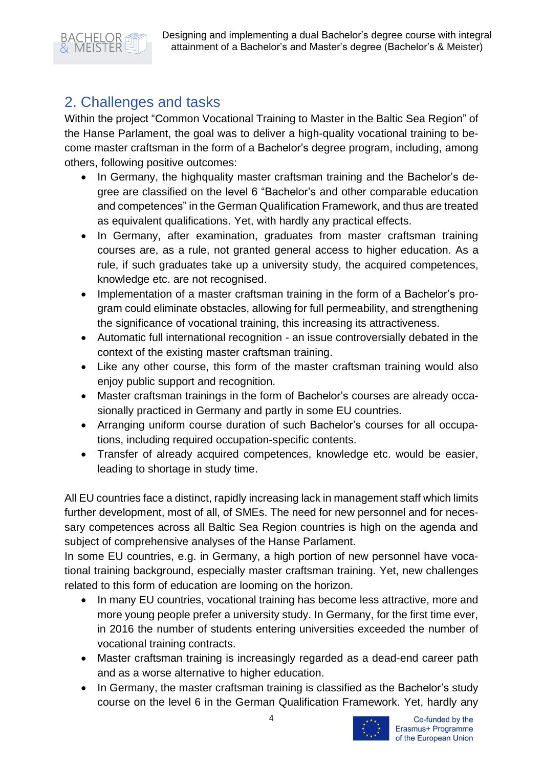

# <span id="page-4-0"></span>2. Challenges and tasks

Within the project "Common Vocational Training to Master in the Baltic Sea Region" of the Hanse Parlament, the goal was to deliver a high-quality vocational training to become master craftsman in the form of a Bachelor's degree program, including, among others, following positive outcomes:

- In Germany, the highquality master craftsman training and the Bachelor's degree are classified on the level 6 "Bachelor's and other comparable education and competences" in the German Qualification Framework, and thus are treated as equivalent qualifications. Yet, with hardly any practical effects.
- In Germany, after examination, graduates from master craftsman training courses are, as a rule, not granted general access to higher education. As a rule, if such graduates take up a university study, the acquired competences, knowledge etc. are not recognised.
- Implementation of a master craftsman training in the form of a Bachelor's program could eliminate obstacles, allowing for full permeability, and strengthening the significance of vocational training, this increasing its attractiveness.
- Automatic full international recognition an issue controversially debated in the context of the existing master craftsman training.
- Like any other course, this form of the master craftsman training would also enjoy public support and recognition.
- Master craftsman trainings in the form of Bachelor's courses are already occasionally practiced in Germany and partly in some EU countries.
- Arranging uniform course duration of such Bachelor's courses for all occupations, including required occupation-specific contents.
- Transfer of already acquired competences, knowledge etc. would be easier, leading to shortage in study time.

All EU countries face a distinct, rapidly increasing lack in management staff which limits further development, most of all, of SMEs. The need for new personnel and for necessary competences across all Baltic Sea Region countries is high on the agenda and subject of comprehensive analyses of the Hanse Parlament.

In some EU countries, e.g. in Germany, a high portion of new personnel have vocational training background, especially master craftsman training. Yet, new challenges related to this form of education are looming on the horizon.

- In many EU countries, vocational training has become less attractive, more and more young people prefer a university study. In Germany, for the first time ever, in 2016 the number of students entering universities exceeded the number of vocational training contracts.
- Master craftsman training is increasingly regarded as a dead-end career path and as a worse alternative to higher education.
- In Germany, the master craftsman training is classified as the Bachelor's study course on the level 6 in the German Qualification Framework. Yet, hardly any

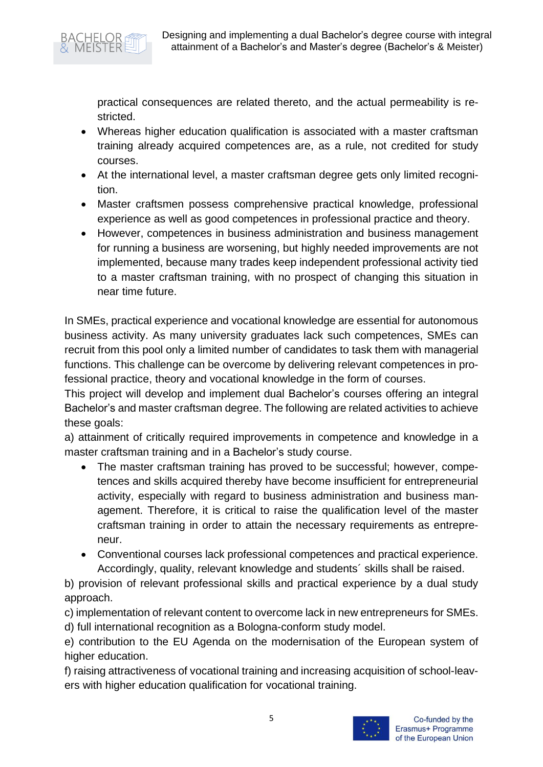

practical consequences are related thereto, and the actual permeability is restricted.

- Whereas higher education qualification is associated with a master craftsman training already acquired competences are, as a rule, not credited for study courses.
- At the international level, a master craftsman degree gets only limited recognition.
- Master craftsmen possess comprehensive practical knowledge, professional experience as well as good competences in professional practice and theory.
- However, competences in business administration and business management for running a business are worsening, but highly needed improvements are not implemented, because many trades keep independent professional activity tied to a master craftsman training, with no prospect of changing this situation in near time future.

In SMEs, practical experience and vocational knowledge are essential for autonomous business activity. As many university graduates lack such competences, SMEs can recruit from this pool only a limited number of candidates to task them with managerial functions. This challenge can be overcome by delivering relevant competences in professional practice, theory and vocational knowledge in the form of courses.

This project will develop and implement dual Bachelor's courses offering an integral Bachelor's and master craftsman degree. The following are related activities to achieve these goals:

a) attainment of critically required improvements in competence and knowledge in a master craftsman training and in a Bachelor's study course.

- The master craftsman training has proved to be successful; however, competences and skills acquired thereby have become insufficient for entrepreneurial activity, especially with regard to business administration and business management. Therefore, it is critical to raise the qualification level of the master craftsman training in order to attain the necessary requirements as entrepreneur.
- Conventional courses lack professional competences and practical experience. Accordingly, quality, relevant knowledge and students´ skills shall be raised.

b) provision of relevant professional skills and practical experience by a dual study approach.

c) implementation of relevant content to overcome lack in new entrepreneurs for SMEs. d) full international recognition as a Bologna-conform study model.

e) contribution to the EU Agenda on the modernisation of the European system of higher education.

f) raising attractiveness of vocational training and increasing acquisition of school-leavers with higher education qualification for vocational training.

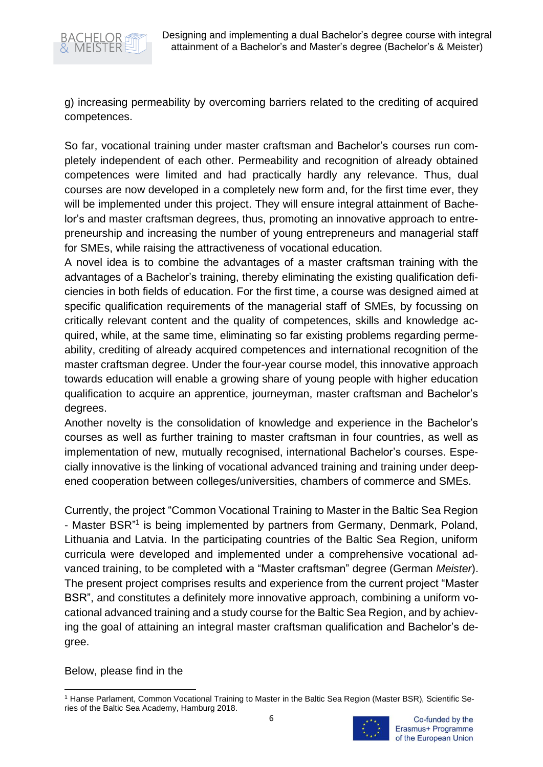

g) increasing permeability by overcoming barriers related to the crediting of acquired competences.

So far, vocational training under master craftsman and Bachelor's courses run completely independent of each other. Permeability and recognition of already obtained competences were limited and had practically hardly any relevance. Thus, dual courses are now developed in a completely new form and, for the first time ever, they will be implemented under this project. They will ensure integral attainment of Bachelor's and master craftsman degrees, thus, promoting an innovative approach to entrepreneurship and increasing the number of young entrepreneurs and managerial staff for SMEs, while raising the attractiveness of vocational education.

A novel idea is to combine the advantages of a master craftsman training with the advantages of a Bachelor's training, thereby eliminating the existing qualification deficiencies in both fields of education. For the first time, a course was designed aimed at specific qualification requirements of the managerial staff of SMEs, by focussing on critically relevant content and the quality of competences, skills and knowledge acquired, while, at the same time, eliminating so far existing problems regarding permeability, crediting of already acquired competences and international recognition of the master craftsman degree. Under the four-year course model, this innovative approach towards education will enable a growing share of young people with higher education qualification to acquire an apprentice, journeyman, master craftsman and Bachelor's degrees.

Another novelty is the consolidation of knowledge and experience in the Bachelor's courses as well as further training to master craftsman in four countries, as well as implementation of new, mutually recognised, international Bachelor's courses. Especially innovative is the linking of vocational advanced training and training under deepened cooperation between colleges/universities, chambers of commerce and SMEs.

Currently, the project "Common Vocational Training to Master in the Baltic Sea Region - Master BSR<sup>"1</sup> is being implemented by partners from Germany, Denmark, Poland, Lithuania and Latvia. In the participating countries of the Baltic Sea Region, uniform curricula were developed and implemented under a comprehensive vocational advanced training, to be completed with a "Master craftsman" degree (German *Meister*). The present project comprises results and experience from the current project "Master BSR", and constitutes a definitely more innovative approach, combining a uniform vocational advanced training and a study course for the Baltic Sea Region, and by achieving the goal of attaining an integral master craftsman qualification and Bachelor's degree.

Below, please find in the

<sup>1</sup> Hanse Parlament, Common Vocational Training to Master in the Baltic Sea Region (Master BSR), Scientific Series of the Baltic Sea Academy, Hamburg 2018.

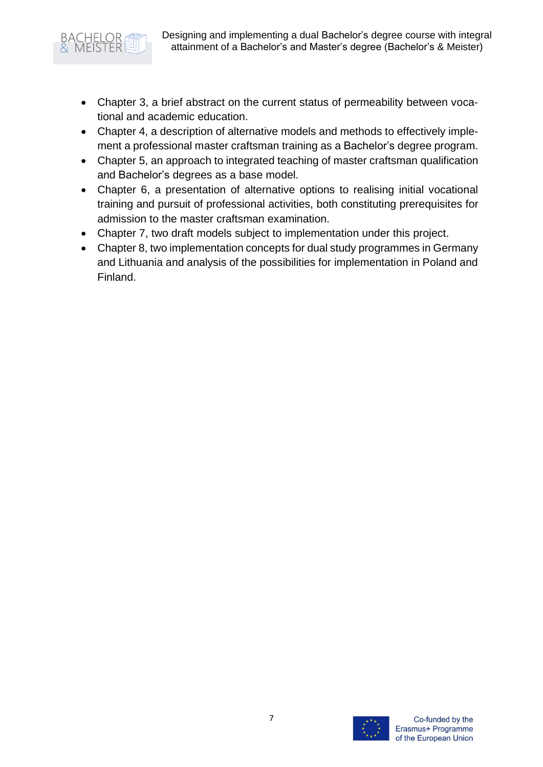

- Chapter 3, a brief abstract on the current status of permeability between vocational and academic education.
- Chapter 4, a description of alternative models and methods to effectively implement a professional master craftsman training as a Bachelor's degree program.
- Chapter 5, an approach to integrated teaching of master craftsman qualification and Bachelor's degrees as a base model.
- Chapter 6, a presentation of alternative options to realising initial vocational training and pursuit of professional activities, both constituting prerequisites for admission to the master craftsman examination.
- Chapter 7, two draft models subject to implementation under this project.
- Chapter 8, two implementation concepts for dual study programmes in Germany and Lithuania and analysis of the possibilities for implementation in Poland and Finland.

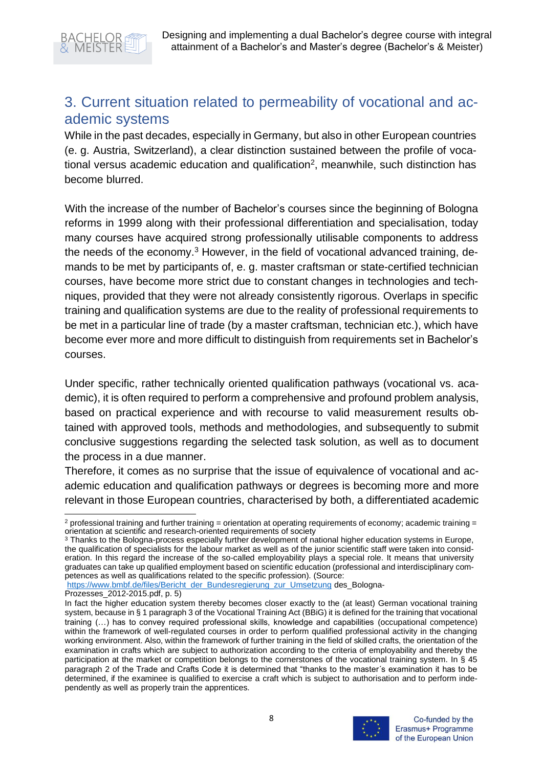

# <span id="page-8-0"></span>3. Current situation related to permeability of vocational and academic systems

While in the past decades, especially in Germany, but also in other European countries (e. g. Austria, Switzerland), a clear distinction sustained between the profile of vocational versus academic education and qualification<sup>2</sup>, meanwhile, such distinction has become blurred.

With the increase of the number of Bachelor's courses since the beginning of Bologna reforms in 1999 along with their professional differentiation and specialisation, today many courses have acquired strong professionally utilisable components to address the needs of the economy.<sup>3</sup> However, in the field of vocational advanced training, demands to be met by participants of, e. g. master craftsman or state-certified technician courses, have become more strict due to constant changes in technologies and techniques, provided that they were not already consistently rigorous. Overlaps in specific training and qualification systems are due to the reality of professional requirements to be met in a particular line of trade (by a master craftsman, technician etc.), which have become ever more and more difficult to distinguish from requirements set in Bachelor's courses.

Under specific, rather technically oriented qualification pathways (vocational vs. academic), it is often required to perform a comprehensive and profound problem analysis, based on practical experience and with recourse to valid measurement results obtained with approved tools, methods and methodologies, and subsequently to submit conclusive suggestions regarding the selected task solution, as well as to document the process in a due manner.

Therefore, it comes as no surprise that the issue of equivalence of vocational and academic education and qualification pathways or degrees is becoming more and more relevant in those European countries, characterised by both, a differentiated academic

[https://www.bmbf.de/files/Bericht\\_der\\_Bundesregierung\\_zur\\_Umsetzung](https://www.bmbf.de/files/Bericht_der_Bundesregierung_zur_Umsetzung) des\_Bologna-

In fact the higher education system thereby becomes closer exactly to the (at least) German vocational training system, because in § 1 paragraph 3 of the Vocational Training Act (BBiG) it is defined for the training that vocational training (…) has to convey required professional skills, knowledge and capabilities (occupational competence) within the framework of well-regulated courses in order to perform qualified professional activity in the changing working environment. Also, within the framework of further training in the field of skilled crafts, the orientation of the examination in crafts which are subject to authorization according to the criteria of employability and thereby the participation at the market or competition belongs to the cornerstones of the vocational training system. In § 45 paragraph 2 of the Trade and Crafts Code it is determined that "thanks to the master´s examination it has to be determined, if the examinee is qualified to exercise a craft which is subject to authorisation and to perform independently as well as properly train the apprentices.



 $2$  professional training and further training = orientation at operating requirements of economy; academic training = orientation at scientific and research-oriented requirements of society

<sup>&</sup>lt;sup>3</sup> Thanks to the Bologna-process especially further development of national higher education systems in Europe, the qualification of specialists for the labour market as well as of the junior scientific staff were taken into consideration. In this regard the increase of the so-called employability plays a special role. It means that university graduates can take up qualified employment based on scientific education (professional and interdisciplinary competences as well as qualifications related to the specific profession). (Source:

Prozesses\_2012-2015.pdf, p. 5)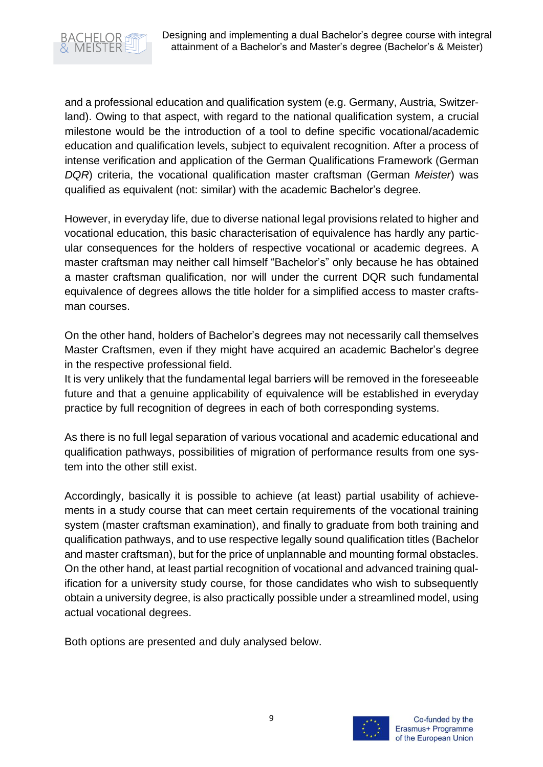

and a professional education and qualification system (e.g. Germany, Austria, Switzerland). Owing to that aspect, with regard to the national qualification system, a crucial milestone would be the introduction of a tool to define specific vocational/academic education and qualification levels, subject to equivalent recognition. After a process of intense verification and application of the German Qualifications Framework (German *DQR*) criteria, the vocational qualification master craftsman (German *Meister*) was qualified as equivalent (not: similar) with the academic Bachelor's degree.

However, in everyday life, due to diverse national legal provisions related to higher and vocational education, this basic characterisation of equivalence has hardly any particular consequences for the holders of respective vocational or academic degrees. A master craftsman may neither call himself "Bachelor's" only because he has obtained a master craftsman qualification, nor will under the current DQR such fundamental equivalence of degrees allows the title holder for a simplified access to master craftsman courses.

On the other hand, holders of Bachelor's degrees may not necessarily call themselves Master Craftsmen, even if they might have acquired an academic Bachelor's degree in the respective professional field.

It is very unlikely that the fundamental legal barriers will be removed in the foreseeable future and that a genuine applicability of equivalence will be established in everyday practice by full recognition of degrees in each of both corresponding systems.

As there is no full legal separation of various vocational and academic educational and qualification pathways, possibilities of migration of performance results from one system into the other still exist.

Accordingly, basically it is possible to achieve (at least) partial usability of achievements in a study course that can meet certain requirements of the vocational training system (master craftsman examination), and finally to graduate from both training and qualification pathways, and to use respective legally sound qualification titles (Bachelor and master craftsman), but for the price of unplannable and mounting formal obstacles. On the other hand, at least partial recognition of vocational and advanced training qualification for a university study course, for those candidates who wish to subsequently obtain a university degree, is also practically possible under a streamlined model, using actual vocational degrees.

Both options are presented and duly analysed below.

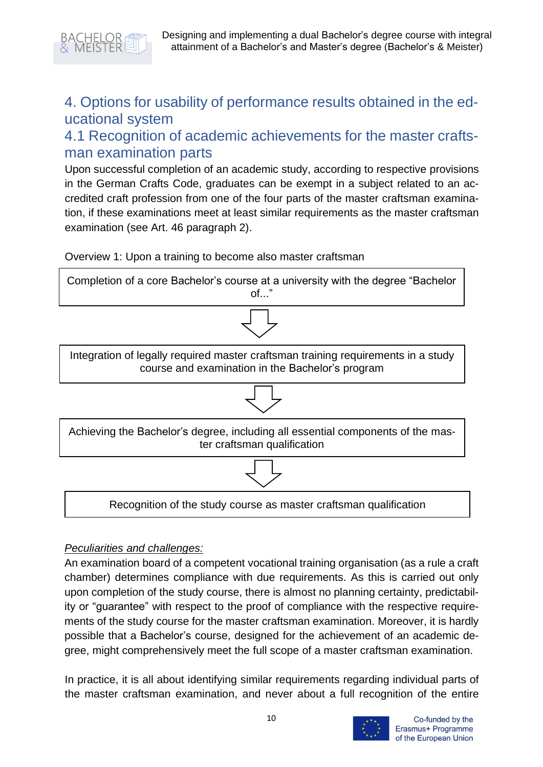

# <span id="page-10-0"></span>4. Options for usability of performance results obtained in the educational system

# <span id="page-10-1"></span>4.1 Recognition of academic achievements for the master craftsman examination parts

Upon successful completion of an academic study, according to respective provisions in the German Crafts Code, graduates can be exempt in a subject related to an accredited craft profession from one of the four parts of the master craftsman examination, if these examinations meet at least similar requirements as the master craftsman examination (see Art. 46 paragraph 2).

Overview 1: Upon a training to become also master craftsman



#### *Peculiarities and challenges:*

An examination board of a competent vocational training organisation (as a rule a craft chamber) determines compliance with due requirements. As this is carried out only upon completion of the study course, there is almost no planning certainty, predictability or "guarantee" with respect to the proof of compliance with the respective requirements of the study course for the master craftsman examination. Moreover, it is hardly possible that a Bachelor's course, designed for the achievement of an academic degree, might comprehensively meet the full scope of a master craftsman examination.

In practice, it is all about identifying similar requirements regarding individual parts of the master craftsman examination, and never about a full recognition of the entire

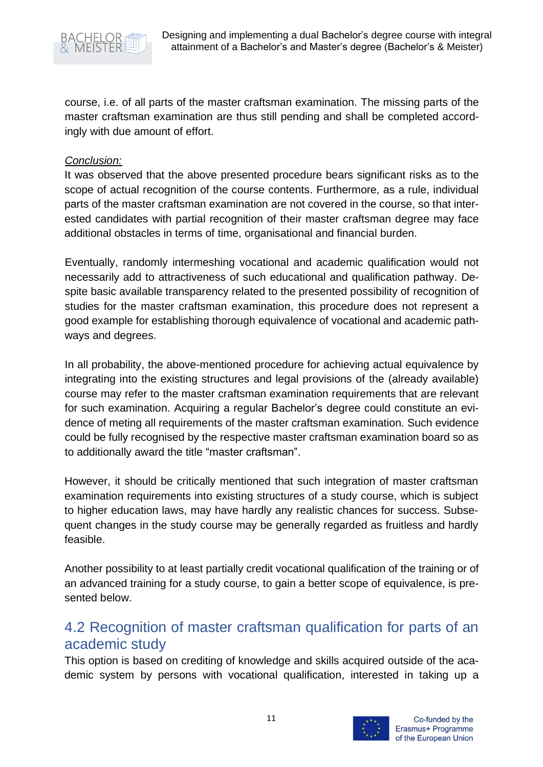

course, i.e. of all parts of the master craftsman examination. The missing parts of the master craftsman examination are thus still pending and shall be completed accordingly with due amount of effort.

#### *Conclusion:*

It was observed that the above presented procedure bears significant risks as to the scope of actual recognition of the course contents. Furthermore, as a rule, individual parts of the master craftsman examination are not covered in the course, so that interested candidates with partial recognition of their master craftsman degree may face additional obstacles in terms of time, organisational and financial burden.

Eventually, randomly intermeshing vocational and academic qualification would not necessarily add to attractiveness of such educational and qualification pathway. Despite basic available transparency related to the presented possibility of recognition of studies for the master craftsman examination, this procedure does not represent a good example for establishing thorough equivalence of vocational and academic pathways and degrees.

In all probability, the above-mentioned procedure for achieving actual equivalence by integrating into the existing structures and legal provisions of the (already available) course may refer to the master craftsman examination requirements that are relevant for such examination. Acquiring a regular Bachelor's degree could constitute an evidence of meting all requirements of the master craftsman examination. Such evidence could be fully recognised by the respective master craftsman examination board so as to additionally award the title "master craftsman".

However, it should be critically mentioned that such integration of master craftsman examination requirements into existing structures of a study course, which is subject to higher education laws, may have hardly any realistic chances for success. Subsequent changes in the study course may be generally regarded as fruitless and hardly feasible.

Another possibility to at least partially credit vocational qualification of the training or of an advanced training for a study course, to gain a better scope of equivalence, is presented below.

# <span id="page-11-0"></span>4.2 Recognition of master craftsman qualification for parts of an academic study

This option is based on crediting of knowledge and skills acquired outside of the academic system by persons with vocational qualification, interested in taking up a

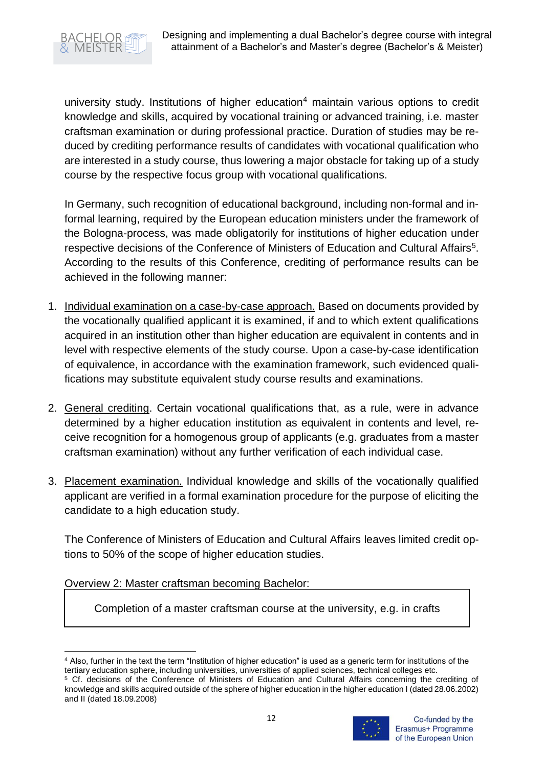

university study. Institutions of higher education<sup>4</sup> maintain various options to credit knowledge and skills, acquired by vocational training or advanced training, i.e. master craftsman examination or during professional practice. Duration of studies may be reduced by crediting performance results of candidates with vocational qualification who are interested in a study course, thus lowering a major obstacle for taking up of a study course by the respective focus group with vocational qualifications.

In Germany, such recognition of educational background, including non-formal and informal learning, required by the European education ministers under the framework of the Bologna-process, was made obligatorily for institutions of higher education under respective decisions of the Conference of Ministers of Education and Cultural Affairs<sup>5</sup>. According to the results of this Conference, crediting of performance results can be achieved in the following manner:

- 1. Individual examination on a case-by-case approach. Based on documents provided by the vocationally qualified applicant it is examined, if and to which extent qualifications acquired in an institution other than higher education are equivalent in contents and in level with respective elements of the study course. Upon a case-by-case identification of equivalence, in accordance with the examination framework, such evidenced qualifications may substitute equivalent study course results and examinations.
- 2. General crediting. Certain vocational qualifications that, as a rule, were in advance determined by a higher education institution as equivalent in contents and level, receive recognition for a homogenous group of applicants (e.g. graduates from a master craftsman examination) without any further verification of each individual case.
- 3. Placement examination. Individual knowledge and skills of the vocationally qualified applicant are verified in a formal examination procedure for the purpose of eliciting the candidate to a high education study.

The Conference of Ministers of Education and Cultural Affairs leaves limited credit options to 50% of the scope of higher education studies.

Overview 2: Master craftsman becoming Bachelor:

Completion of a master craftsman course at the university, e.g. in crafts

<sup>5</sup> Cf. decisions of the Conference of Ministers of Education and Cultural Affairs concerning the crediting of knowledge and skills acquired outside of the sphere of higher education in the higher education I (dated 28.06.2002) and II (dated 18.09.2008)



<sup>4</sup> Also, further in the text the term "Institution of higher education" is used as a generic term for institutions of the tertiary education sphere, including universities, universities of applied sciences, technical colleges etc.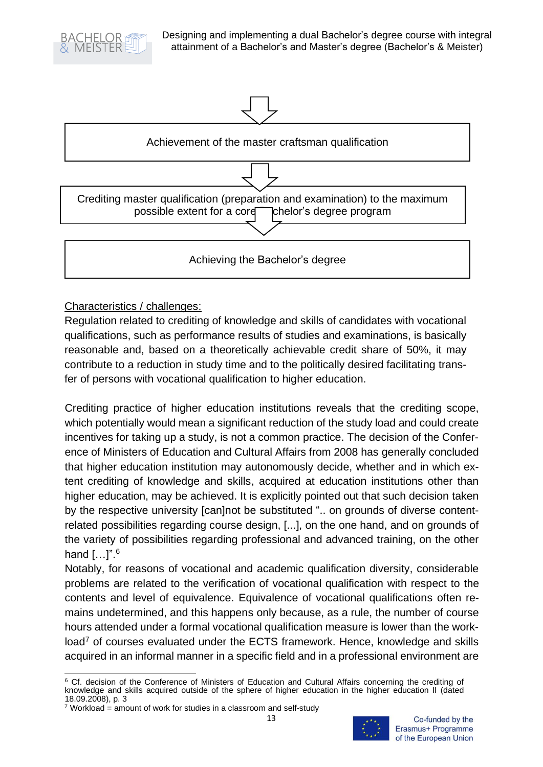



## Characteristics / challenges:

Regulation related to crediting of knowledge and skills of candidates with vocational qualifications, such as performance results of studies and examinations, is basically reasonable and, based on a theoretically achievable credit share of 50%, it may contribute to a reduction in study time and to the politically desired facilitating transfer of persons with vocational qualification to higher education.

Crediting practice of higher education institutions reveals that the crediting scope, which potentially would mean a significant reduction of the study load and could create incentives for taking up a study, is not a common practice. The decision of the Conference of Ministers of Education and Cultural Affairs from 2008 has generally concluded that higher education institution may autonomously decide, whether and in which extent crediting of knowledge and skills, acquired at education institutions other than higher education, may be achieved. It is explicitly pointed out that such decision taken by the respective university [can]not be substituted ".. on grounds of diverse contentrelated possibilities regarding course design, [...], on the one hand, and on grounds of the variety of possibilities regarding professional and advanced training, on the other hand  $[...]$ ".  $6$ 

Notably, for reasons of vocational and academic qualification diversity, considerable problems are related to the verification of vocational qualification with respect to the contents and level of equivalence. Equivalence of vocational qualifications often remains undetermined, and this happens only because, as a rule, the number of course hours attended under a formal vocational qualification measure is lower than the workload<sup>7</sup> of courses evaluated under the ECTS framework. Hence, knowledge and skills acquired in an informal manner in a specific field and in a professional environment are

<sup>&</sup>lt;sup>6</sup> Cf. decision of the Conference of Ministers of Education and Cultural Affairs concerning the crediting of knowledge and skills acquired outside of the sphere of higher education in the higher education II (dated 18.09.2008), p. 3

 $7$  Workload = amount of work for studies in a classroom and self-study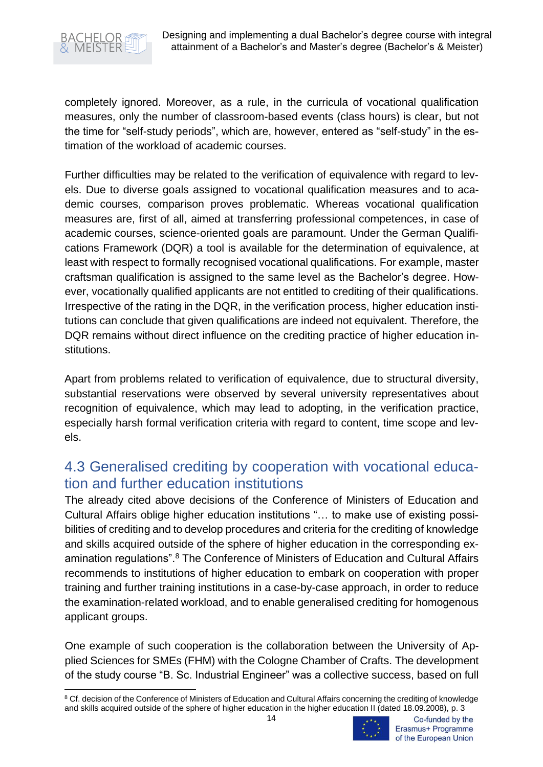

completely ignored. Moreover, as a rule, in the curricula of vocational qualification measures, only the number of classroom-based events (class hours) is clear, but not the time for "self-study periods", which are, however, entered as "self-study" in the estimation of the workload of academic courses.

Further difficulties may be related to the verification of equivalence with regard to levels. Due to diverse goals assigned to vocational qualification measures and to academic courses, comparison proves problematic. Whereas vocational qualification measures are, first of all, aimed at transferring professional competences, in case of academic courses, science-oriented goals are paramount. Under the German Qualifications Framework (DQR) a tool is available for the determination of equivalence, at least with respect to formally recognised vocational qualifications. For example, master craftsman qualification is assigned to the same level as the Bachelor's degree. However, vocationally qualified applicants are not entitled to crediting of their qualifications. Irrespective of the rating in the DQR, in the verification process, higher education institutions can conclude that given qualifications are indeed not equivalent. Therefore, the DQR remains without direct influence on the crediting practice of higher education institutions.

Apart from problems related to verification of equivalence, due to structural diversity, substantial reservations were observed by several university representatives about recognition of equivalence, which may lead to adopting, in the verification practice, especially harsh formal verification criteria with regard to content, time scope and levels.

# <span id="page-14-0"></span>4.3 Generalised crediting by cooperation with vocational education and further education institutions

The already cited above decisions of the Conference of Ministers of Education and Cultural Affairs oblige higher education institutions "… to make use of existing possibilities of crediting and to develop procedures and criteria for the crediting of knowledge and skills acquired outside of the sphere of higher education in the corresponding examination regulations".<sup>8</sup> The Conference of Ministers of Education and Cultural Affairs recommends to institutions of higher education to embark on cooperation with proper training and further training institutions in a case-by-case approach, in order to reduce the examination-related workload, and to enable generalised crediting for homogenous applicant groups.

One example of such cooperation is the collaboration between the University of Applied Sciences for SMEs (FHM) with the Cologne Chamber of Crafts. The development of the study course "B. Sc. Industrial Engineer" was a collective success, based on full

<sup>8</sup> Cf. decision of the Conference of Ministers of Education and Cultural Affairs concerning the crediting of knowledge and skills acquired outside of the sphere of higher education in the higher education II (dated 18.09.2008), p. 3

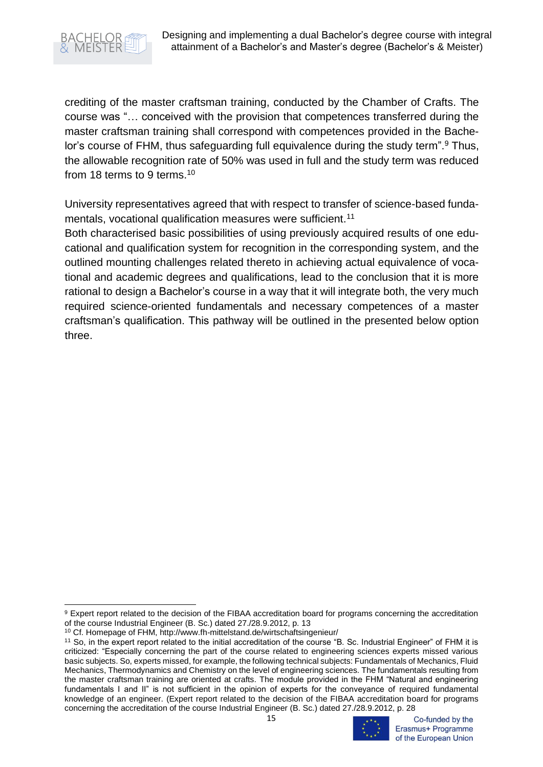

crediting of the master craftsman training, conducted by the Chamber of Crafts. The course was "… conceived with the provision that competences transferred during the master craftsman training shall correspond with competences provided in the Bachelor's course of FHM, thus safeguarding full equivalence during the study term".<sup>9</sup> Thus, the allowable recognition rate of 50% was used in full and the study term was reduced from 18 terms to 9 terms.<sup>10</sup>

University representatives agreed that with respect to transfer of science-based fundamentals, vocational qualification measures were sufficient.<sup>11</sup>

Both characterised basic possibilities of using previously acquired results of one educational and qualification system for recognition in the corresponding system, and the outlined mounting challenges related thereto in achieving actual equivalence of vocational and academic degrees and qualifications, lead to the conclusion that it is more rational to design a Bachelor's course in a way that it will integrate both, the very much required science-oriented fundamentals and necessary competences of a master craftsman's qualification. This pathway will be outlined in the presented below option three.

<sup>11</sup> So, in the expert report related to the initial accreditation of the course "B. Sc. Industrial Engineer" of FHM it is criticized: "Especially concerning the part of the course related to engineering sciences experts missed various basic subjects. So, experts missed, for example, the following technical subjects: Fundamentals of Mechanics, Fluid Mechanics, Thermodynamics and Chemistry on the level of engineering sciences. The fundamentals resulting from the master craftsman training are oriented at crafts. The module provided in the FHM "Natural and engineering fundamentals I and II" is not sufficient in the opinion of experts for the conveyance of required fundamental knowledge of an engineer. (Expert report related to the decision of the FIBAA accreditation board for programs concerning the accreditation of the course Industrial Engineer (B. Sc.) dated 27./28.9.2012, p. 28



Co-funded by the Erasmus+ Programme of the European Union

<sup>&</sup>lt;sup>9</sup> Expert report related to the decision of the FIBAA accreditation board for programs concerning the accreditation of the course Industrial Engineer (B. Sc.) dated 27./28.9.2012, p. 13

<sup>10</sup> Cf. Homepage of FHM, http://www.fh-mittelstand.de/wirtschaftsingenieur/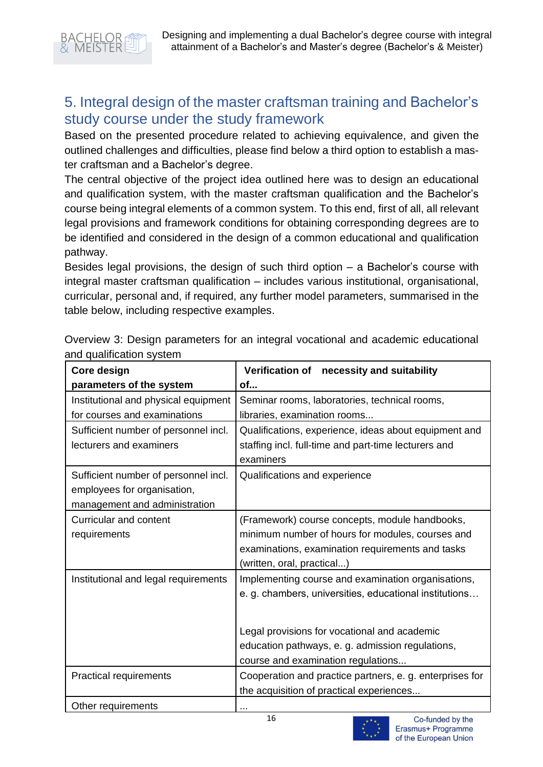

# <span id="page-16-0"></span>5. Integral design of the master craftsman training and Bachelor's study course under the study framework

Based on the presented procedure related to achieving equivalence, and given the outlined challenges and difficulties, please find below a third option to establish a master craftsman and a Bachelor's degree.

The central objective of the project idea outlined here was to design an educational and qualification system, with the master craftsman qualification and the Bachelor's course being integral elements of a common system. To this end, first of all, all relevant legal provisions and framework conditions for obtaining corresponding degrees are to be identified and considered in the design of a common educational and qualification pathway.

Besides legal provisions, the design of such third option – a Bachelor's course with integral master craftsman qualification – includes various institutional, organisational, curricular, personal and, if required, any further model parameters, summarised in the table below, including respective examples.

| Core design                          | Verification of necessity and suitability                |  |  |  |
|--------------------------------------|----------------------------------------------------------|--|--|--|
| parameters of the system             | of                                                       |  |  |  |
| Institutional and physical equipment | Seminar rooms, laboratories, technical rooms,            |  |  |  |
| for courses and examinations         | libraries, examination rooms                             |  |  |  |
| Sufficient number of personnel incl. | Qualifications, experience, ideas about equipment and    |  |  |  |
| lecturers and examiners              | staffing incl. full-time and part-time lecturers and     |  |  |  |
|                                      | examiners                                                |  |  |  |
| Sufficient number of personnel incl. | Qualifications and experience                            |  |  |  |
| employees for organisation,          |                                                          |  |  |  |
| management and administration        |                                                          |  |  |  |
| <b>Curricular and content</b>        | (Framework) course concepts, module handbooks,           |  |  |  |
| requirements                         | minimum number of hours for modules, courses and         |  |  |  |
|                                      | examinations, examination requirements and tasks         |  |  |  |
|                                      | (written, oral, practical)                               |  |  |  |
| Institutional and legal requirements | Implementing course and examination organisations,       |  |  |  |
|                                      | e. g. chambers, universities, educational institutions   |  |  |  |
|                                      |                                                          |  |  |  |
|                                      | Legal provisions for vocational and academic             |  |  |  |
|                                      | education pathways, e. g. admission regulations,         |  |  |  |
|                                      | course and examination regulations                       |  |  |  |
| <b>Practical requirements</b>        | Cooperation and practice partners, e. g. enterprises for |  |  |  |
|                                      | the acquisition of practical experiences                 |  |  |  |
| Other requirements                   |                                                          |  |  |  |

Overview 3: Design parameters for an integral vocational and academic educational and qualification system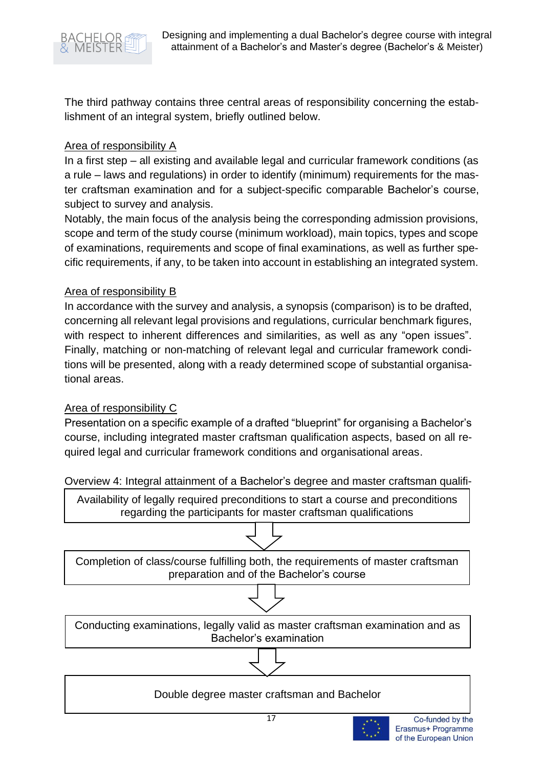

The third pathway contains three central areas of responsibility concerning the establishment of an integral system, briefly outlined below.

#### Area of responsibility A

In a first step – all existing and available legal and curricular framework conditions (as a rule – laws and regulations) in order to identify (minimum) requirements for the master craftsman examination and for a subject-specific comparable Bachelor's course, subject to survey and analysis.

Notably, the main focus of the analysis being the corresponding admission provisions, scope and term of the study course (minimum workload), main topics, types and scope of examinations, requirements and scope of final examinations, as well as further specific requirements, if any, to be taken into account in establishing an integrated system.

### Area of responsibility B

In accordance with the survey and analysis, a synopsis (comparison) is to be drafted, concerning all relevant legal provisions and regulations, curricular benchmark figures, with respect to inherent differences and similarities, as well as any "open issues". Finally, matching or non-matching of relevant legal and curricular framework conditions will be presented, along with a ready determined scope of substantial organisational areas.

## Area of responsibility C

Presentation on a specific example of a drafted "blueprint" for organising a Bachelor's course, including integrated master craftsman qualification aspects, based on all required legal and curricular framework conditions and organisational areas.

Overview 4: Integral attainment of a Bachelor's degree and master craftsman qualifi-



Completion of class/course fulfilling both, the requirements of master craftsman preparation and of the Bachelor's course



#### Double degree master craftsman and Bachelor

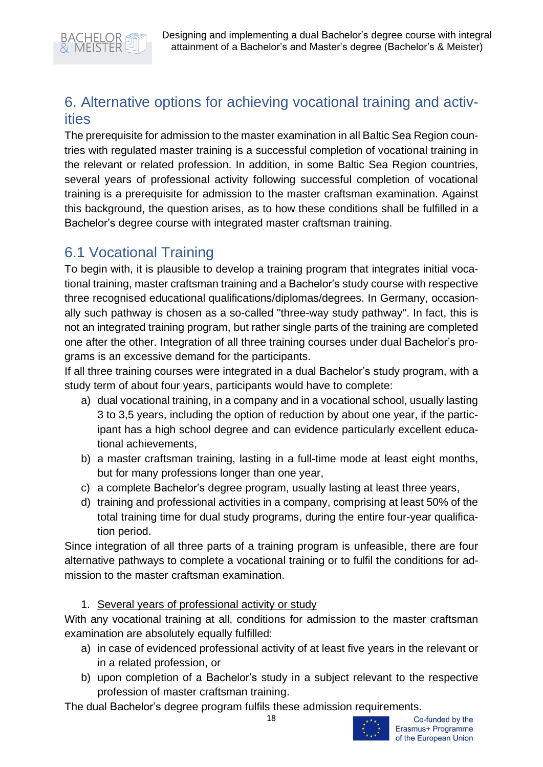

# <span id="page-18-0"></span>6. Alternative options for achieving vocational training and activities

The prerequisite for admission to the master examination in all Baltic Sea Region countries with regulated master training is a successful completion of vocational training in the relevant or related profession. In addition, in some Baltic Sea Region countries, several years of professional activity following successful completion of vocational training is a prerequisite for admission to the master craftsman examination. Against this background, the question arises, as to how these conditions shall be fulfilled in a Bachelor's degree course with integrated master craftsman training.

# <span id="page-18-1"></span>6.1 Vocational Training

To begin with, it is plausible to develop a training program that integrates initial vocational training, master craftsman training and a Bachelor's study course with respective three recognised educational qualifications/diplomas/degrees. In Germany, occasionally such pathway is chosen as a so-called "three-way study pathway". In fact, this is not an integrated training program, but rather single parts of the training are completed one after the other. Integration of all three training courses under dual Bachelor's programs is an excessive demand for the participants.

If all three training courses were integrated in a dual Bachelor's study program, with a study term of about four years, participants would have to complete:

- a) dual vocational training, in a company and in a vocational school, usually lasting 3 to 3,5 years, including the option of reduction by about one year, if the participant has a high school degree and can evidence particularly excellent educational achievements,
- b) a master craftsman training, lasting in a full-time mode at least eight months, but for many professions longer than one year,
- c) a complete Bachelor's degree program, usually lasting at least three years,
- d) training and professional activities in a company, comprising at least 50% of the total training time for dual study programs, during the entire four-year qualification period.

Since integration of all three parts of a training program is unfeasible, there are four alternative pathways to complete a vocational training or to fulfil the conditions for admission to the master craftsman examination.

## 1. Several years of professional activity or study

With any vocational training at all, conditions for admission to the master craftsman examination are absolutely equally fulfilled:

- a) in case of evidenced professional activity of at least five years in the relevant or in a related profession, or
- b) upon completion of a Bachelor's study in a subject relevant to the respective profession of master craftsman training.

The dual Bachelor's degree program fulfils these admission requirements.

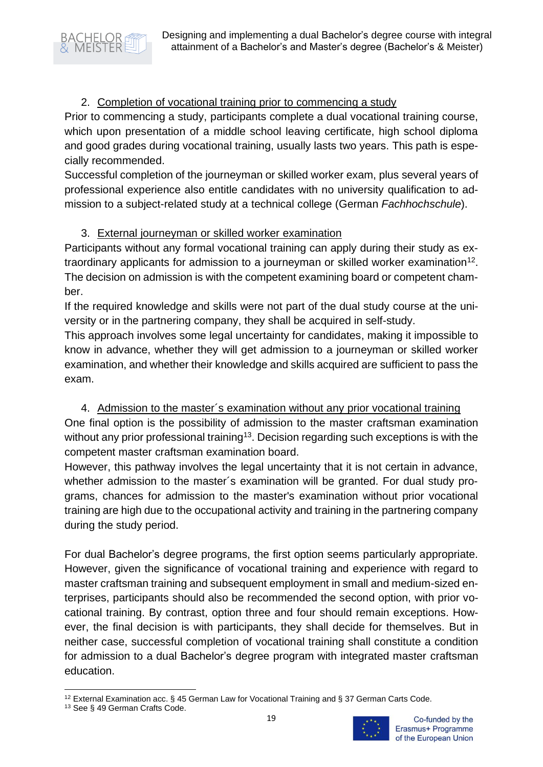Designing and implementing a dual Bachelor's degree course with integral attainment of a Bachelor's and Master's degree (Bachelor's & Meister)

#### 2. Completion of vocational training prior to commencing a study

Prior to commencing a study, participants complete a dual vocational training course, which upon presentation of a middle school leaving certificate, high school diploma and good grades during vocational training, usually lasts two years. This path is especially recommended.

Successful completion of the journeyman or skilled worker exam, plus several years of professional experience also entitle candidates with no university qualification to admission to a subject-related study at a technical college (German *Fachhochschule*).

#### 3. External journeyman or skilled worker examination

Participants without any formal vocational training can apply during their study as extraordinary applicants for admission to a journeyman or skilled worker examination<sup>12</sup>. The decision on admission is with the competent examining board or competent chamber.

If the required knowledge and skills were not part of the dual study course at the university or in the partnering company, they shall be acquired in self-study.

This approach involves some legal uncertainty for candidates, making it impossible to know in advance, whether they will get admission to a journeyman or skilled worker examination, and whether their knowledge and skills acquired are sufficient to pass the exam.

## 4. Admission to the master´s examination without any prior vocational training

One final option is the possibility of admission to the master craftsman examination without any prior professional training<sup>13</sup>. Decision regarding such exceptions is with the competent master craftsman examination board.

However, this pathway involves the legal uncertainty that it is not certain in advance, whether admission to the master´s examination will be granted. For dual study programs, chances for admission to the master's examination without prior vocational training are high due to the occupational activity and training in the partnering company during the study period.

For dual Bachelor's degree programs, the first option seems particularly appropriate. However, given the significance of vocational training and experience with regard to master craftsman training and subsequent employment in small and medium-sized enterprises, participants should also be recommended the second option, with prior vocational training. By contrast, option three and four should remain exceptions. However, the final decision is with participants, they shall decide for themselves. But in neither case, successful completion of vocational training shall constitute a condition for admission to a dual Bachelor's degree program with integrated master craftsman education.



<sup>12</sup> External Examination acc. § 45 German Law for Vocational Training and § 37 German Carts Code.

<sup>13</sup> See § 49 German Crafts Code.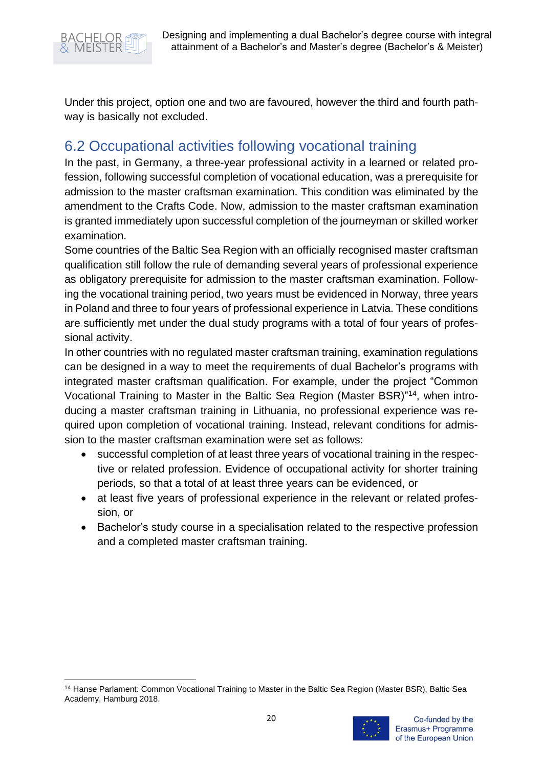

Under this project, option one and two are favoured, however the third and fourth pathway is basically not excluded.

# <span id="page-20-0"></span>6.2 Occupational activities following vocational training

In the past, in Germany, a three-year professional activity in a learned or related profession, following successful completion of vocational education, was a prerequisite for admission to the master craftsman examination. This condition was eliminated by the amendment to the Crafts Code. Now, admission to the master craftsman examination is granted immediately upon successful completion of the journeyman or skilled worker examination.

Some countries of the Baltic Sea Region with an officially recognised master craftsman qualification still follow the rule of demanding several years of professional experience as obligatory prerequisite for admission to the master craftsman examination. Following the vocational training period, two years must be evidenced in Norway, three years in Poland and three to four years of professional experience in Latvia. These conditions are sufficiently met under the dual study programs with a total of four years of professional activity.

In other countries with no regulated master craftsman training, examination regulations can be designed in a way to meet the requirements of dual Bachelor's programs with integrated master craftsman qualification. For example, under the project "Common Vocational Training to Master in the Baltic Sea Region (Master BSR)"<sup>14</sup>, when introducing a master craftsman training in Lithuania, no professional experience was required upon completion of vocational training. Instead, relevant conditions for admission to the master craftsman examination were set as follows:

- successful completion of at least three years of vocational training in the respective or related profession. Evidence of occupational activity for shorter training periods, so that a total of at least three years can be evidenced, or
- at least five years of professional experience in the relevant or related profession, or
- Bachelor's study course in a specialisation related to the respective profession and a completed master craftsman training.

<sup>14</sup> Hanse Parlament: Common Vocational Training to Master in the Baltic Sea Region (Master BSR), Baltic Sea Academy, Hamburg 2018.

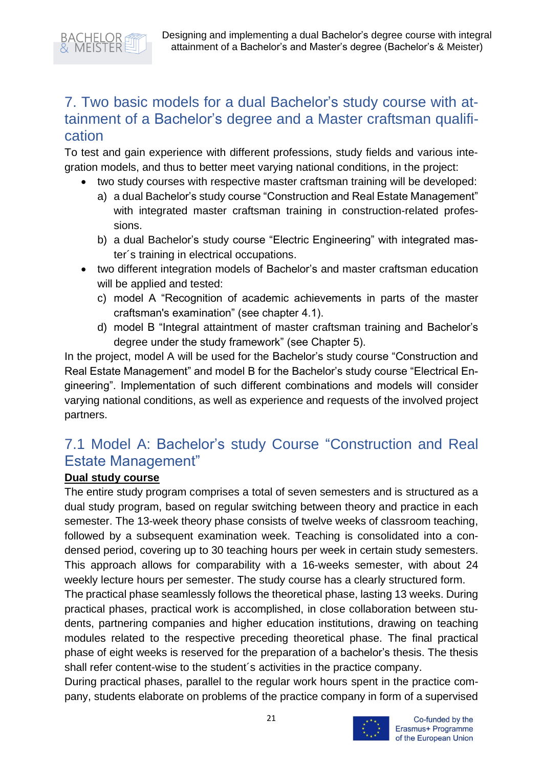# <span id="page-21-0"></span>7. Two basic models for a dual Bachelor's study course with attainment of a Bachelor's degree and a Master craftsman qualification

To test and gain experience with different professions, study fields and various integration models, and thus to better meet varying national conditions, in the project:

- two study courses with respective master craftsman training will be developed:
	- a) a dual Bachelor's study course "Construction and Real Estate Management" with integrated master craftsman training in construction-related professions.
	- b) a dual Bachelor's study course "Electric Engineering" with integrated master´s training in electrical occupations.
- two different integration models of Bachelor's and master craftsman education will be applied and tested:
	- c) model A "Recognition of academic achievements in parts of the master craftsman's examination" (see chapter 4.1).
	- d) model B "Integral attaintment of master craftsman training and Bachelor's degree under the study framework" (see Chapter 5).

In the project, model A will be used for the Bachelor's study course "Construction and Real Estate Management" and model B for the Bachelor's study course "Electrical Engineering". Implementation of such different combinations and models will consider varying national conditions, as well as experience and requests of the involved project partners.

# <span id="page-21-1"></span>7.1 Model A: Bachelor's study Course "Construction and Real Estate Management"

## **Dual study course**

The entire study program comprises a total of seven semesters and is structured as a dual study program, based on regular switching between theory and practice in each semester. The 13-week theory phase consists of twelve weeks of classroom teaching, followed by a subsequent examination week. Teaching is consolidated into a condensed period, covering up to 30 teaching hours per week in certain study semesters. This approach allows for comparability with a 16-weeks semester, with about 24 weekly lecture hours per semester. The study course has a clearly structured form.

The practical phase seamlessly follows the theoretical phase, lasting 13 weeks. During practical phases, practical work is accomplished, in close collaboration between students, partnering companies and higher education institutions, drawing on teaching modules related to the respective preceding theoretical phase. The final practical phase of eight weeks is reserved for the preparation of a bachelor's thesis. The thesis shall refer content-wise to the student´s activities in the practice company.

During practical phases, parallel to the regular work hours spent in the practice company, students elaborate on problems of the practice company in form of a supervised

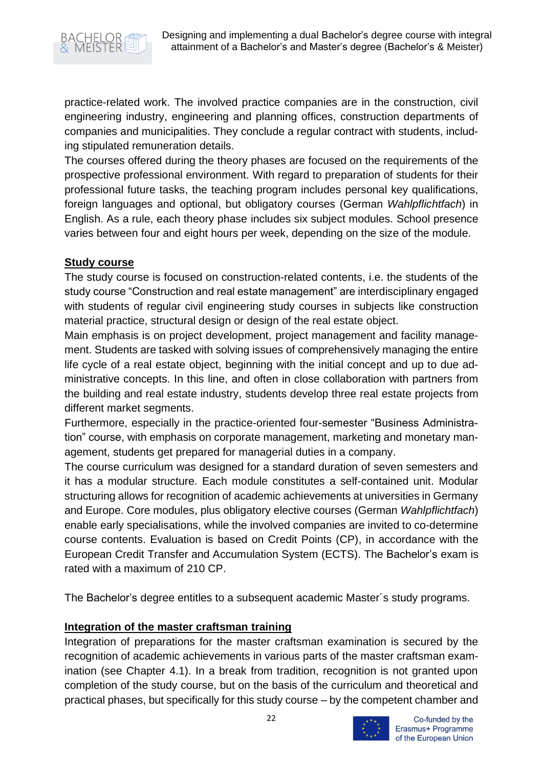

practice-related work. The involved practice companies are in the construction, civil engineering industry, engineering and planning offices, construction departments of companies and municipalities. They conclude a regular contract with students, including stipulated remuneration details.

The courses offered during the theory phases are focused on the requirements of the prospective professional environment. With regard to preparation of students for their professional future tasks, the teaching program includes personal key qualifications, foreign languages and optional, but obligatory courses (German *Wahlpflichtfach*) in English. As a rule, each theory phase includes six subject modules. School presence varies between four and eight hours per week, depending on the size of the module.

#### **Study course**

The study course is focused on construction-related contents, i.e. the students of the study course "Construction and real estate management" are interdisciplinary engaged with students of regular civil engineering study courses in subjects like construction material practice, structural design or design of the real estate object.

Main emphasis is on project development, project management and facility management. Students are tasked with solving issues of comprehensively managing the entire life cycle of a real estate object, beginning with the initial concept and up to due administrative concepts. In this line, and often in close collaboration with partners from the building and real estate industry, students develop three real estate projects from different market segments.

Furthermore, especially in the practice-oriented four-semester "Business Administration" course, with emphasis on corporate management, marketing and monetary management, students get prepared for managerial duties in a company.

The course curriculum was designed for a standard duration of seven semesters and it has a modular structure. Each module constitutes a self-contained unit. Modular structuring allows for recognition of academic achievements at universities in Germany and Europe. Core modules, plus obligatory elective courses (German *Wahlpflichtfach*) enable early specialisations, while the involved companies are invited to co-determine course contents. Evaluation is based on Credit Points (CP), in accordance with the European Credit Transfer and Accumulation System (ECTS). The Bachelor's exam is rated with a maximum of 210 CP.

The Bachelor's degree entitles to a subsequent academic Master´s study programs.

#### **Integration of the master craftsman training**

Integration of preparations for the master craftsman examination is secured by the recognition of academic achievements in various parts of the master craftsman examination (see Chapter 4.1). In a break from tradition, recognition is not granted upon completion of the study course, but on the basis of the curriculum and theoretical and practical phases, but specifically for this study course – by the competent chamber and



Co-funded by the Erasmus+ Programme of the European Union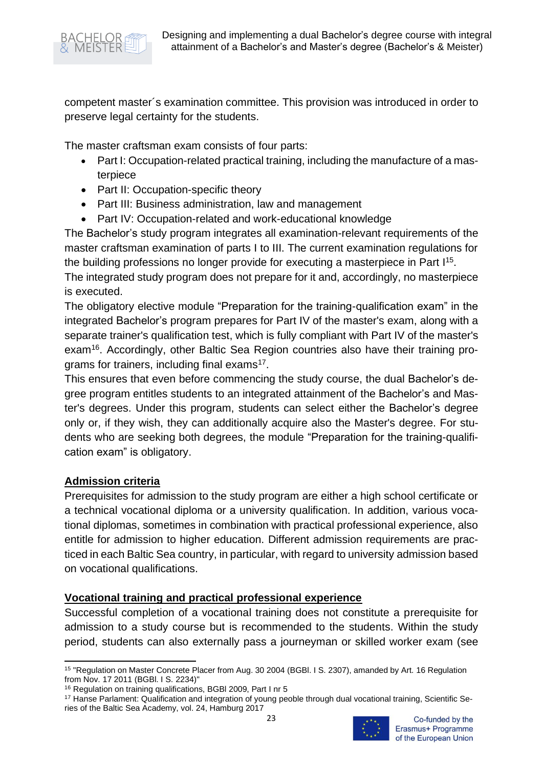

competent master´s examination committee. This provision was introduced in order to preserve legal certainty for the students.

The master craftsman exam consists of four parts:

- Part I: Occupation-related practical training, including the manufacture of a masterpiece
- Part II: Occupation-specific theory
- Part III: Business administration, law and management
- Part IV: Occupation-related and work-educational knowledge

The Bachelor's study program integrates all examination-relevant requirements of the master craftsman examination of parts I to III. The current examination regulations for the building professions no longer provide for executing a masterpiece in Part I<sup>15</sup>.

The integrated study program does not prepare for it and, accordingly, no masterpiece is executed.

The obligatory elective module "Preparation for the training-qualification exam" in the integrated Bachelor's program prepares for Part IV of the master's exam, along with a separate trainer's qualification test, which is fully compliant with Part IV of the master's exam<sup>16</sup>. Accordingly, other Baltic Sea Region countries also have their training programs for trainers, including final exams<sup>17</sup>.

This ensures that even before commencing the study course, the dual Bachelor's degree program entitles students to an integrated attainment of the Bachelor's and Master's degrees. Under this program, students can select either the Bachelor's degree only or, if they wish, they can additionally acquire also the Master's degree. For students who are seeking both degrees, the module "Preparation for the training-qualification exam" is obligatory.

#### **Admission criteria**

Prerequisites for admission to the study program are either a high school certificate or a technical vocational diploma or a university qualification. In addition, various vocational diplomas, sometimes in combination with practical professional experience, also entitle for admission to higher education. Different admission requirements are practiced in each Baltic Sea country, in particular, with regard to university admission based on vocational qualifications.

#### **Vocational training and practical professional experience**

Successful completion of a vocational training does not constitute a prerequisite for admission to a study course but is recommended to the students. Within the study period, students can also externally pass a journeyman or skilled worker exam (see

<sup>17</sup> Hanse Parlament: Qualification and integration of young peoble through dual vocational training, Scientific Series of the Baltic Sea Academy, vol. 24, Hamburg 2017



<sup>15</sup> "Regulation on Master Concrete Placer from Aug. 30 2004 (BGBl. I S. 2307), amanded by Art. 16 Regulation from Nov. 17 2011 (BGBl. I S. 2234)"

<sup>16</sup> Regulation on training qualifications, BGBl 2009, Part I nr 5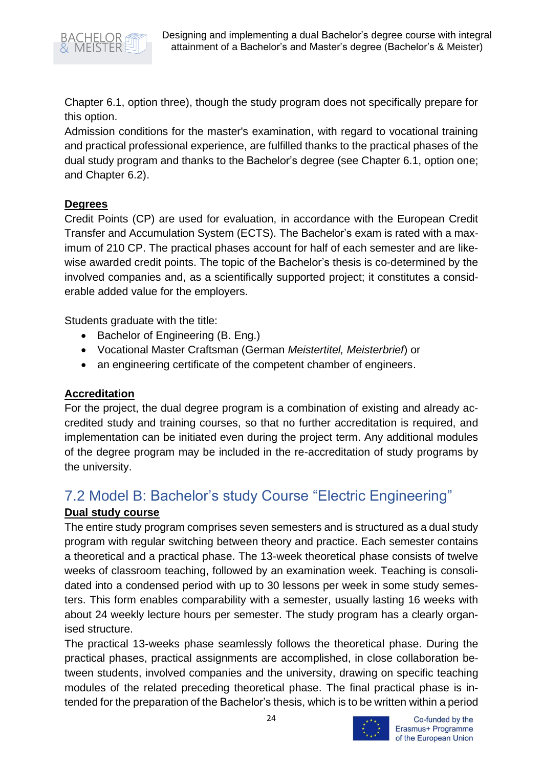

Chapter 6.1, option three), though the study program does not specifically prepare for this option.

Admission conditions for the master's examination, with regard to vocational training and practical professional experience, are fulfilled thanks to the practical phases of the dual study program and thanks to the Bachelor's degree (see Chapter 6.1, option one; and Chapter 6.2).

### **Degrees**

Credit Points (CP) are used for evaluation, in accordance with the European Credit Transfer and Accumulation System (ECTS). The Bachelor's exam is rated with a maximum of 210 CP. The practical phases account for half of each semester and are likewise awarded credit points. The topic of the Bachelor's thesis is co-determined by the involved companies and, as a scientifically supported project; it constitutes a considerable added value for the employers.

Students graduate with the title:

- Bachelor of Engineering (B. Eng.)
- Vocational Master Craftsman (German *Meistertitel, Meisterbrief*) or
- an engineering certificate of the competent chamber of engineers.

## **Accreditation**

For the project, the dual degree program is a combination of existing and already accredited study and training courses, so that no further accreditation is required, and implementation can be initiated even during the project term. Any additional modules of the degree program may be included in the re-accreditation of study programs by the university.

# <span id="page-24-0"></span>7.2 Model B: Bachelor's study Course "Electric Engineering" **Dual study course**

The entire study program comprises seven semesters and is structured as a dual study program with regular switching between theory and practice. Each semester contains a theoretical and a practical phase. The 13-week theoretical phase consists of twelve weeks of classroom teaching, followed by an examination week. Teaching is consolidated into a condensed period with up to 30 lessons per week in some study semesters. This form enables comparability with a semester, usually lasting 16 weeks with about 24 weekly lecture hours per semester. The study program has a clearly organised structure.

The practical 13-weeks phase seamlessly follows the theoretical phase. During the practical phases, practical assignments are accomplished, in close collaboration between students, involved companies and the university, drawing on specific teaching modules of the related preceding theoretical phase. The final practical phase is intended for the preparation of the Bachelor's thesis, which is to be written within a period



Co-funded by the Erasmus+ Programme of the European Union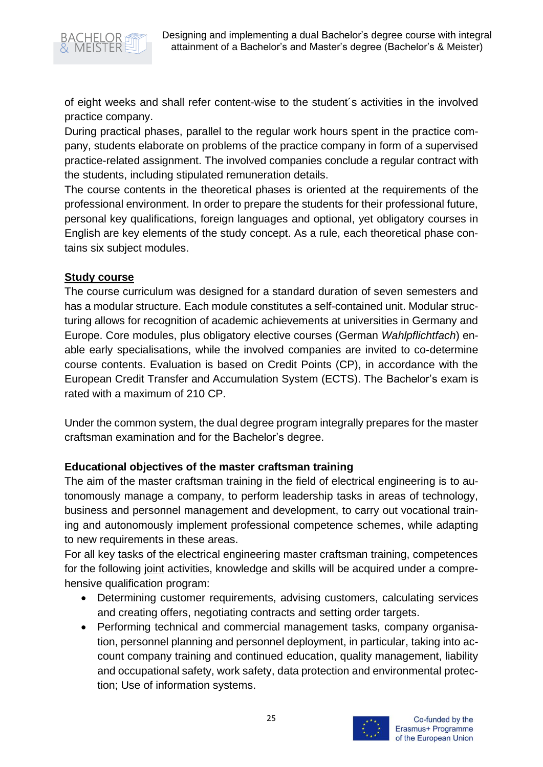

of eight weeks and shall refer content-wise to the student´s activities in the involved practice company.

During practical phases, parallel to the regular work hours spent in the practice company, students elaborate on problems of the practice company in form of a supervised practice-related assignment. The involved companies conclude a regular contract with the students, including stipulated remuneration details.

The course contents in the theoretical phases is oriented at the requirements of the professional environment. In order to prepare the students for their professional future, personal key qualifications, foreign languages and optional, yet obligatory courses in English are key elements of the study concept. As a rule, each theoretical phase contains six subject modules.

#### **Study course**

The course curriculum was designed for a standard duration of seven semesters and has a modular structure. Each module constitutes a self-contained unit. Modular structuring allows for recognition of academic achievements at universities in Germany and Europe. Core modules, plus obligatory elective courses (German *Wahlpflichtfach*) enable early specialisations, while the involved companies are invited to co-determine course contents. Evaluation is based on Credit Points (CP), in accordance with the European Credit Transfer and Accumulation System (ECTS). The Bachelor's exam is rated with a maximum of 210 CP.

Under the common system, the dual degree program integrally prepares for the master craftsman examination and for the Bachelor's degree.

#### **Educational objectives of the master craftsman training**

The aim of the master craftsman training in the field of electrical engineering is to autonomously manage a company, to perform leadership tasks in areas of technology, business and personnel management and development, to carry out vocational training and autonomously implement professional competence schemes, while adapting to new requirements in these areas.

For all key tasks of the electrical engineering master craftsman training, competences for the following joint activities, knowledge and skills will be acquired under a comprehensive qualification program:

- Determining customer requirements, advising customers, calculating services and creating offers, negotiating contracts and setting order targets.
- Performing technical and commercial management tasks, company organisation, personnel planning and personnel deployment, in particular, taking into account company training and continued education, quality management, liability and occupational safety, work safety, data protection and environmental protection; Use of information systems.

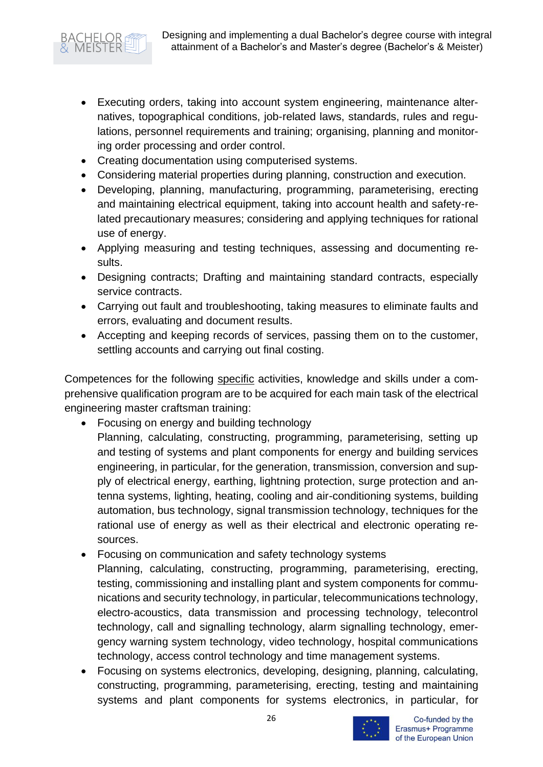

- Executing orders, taking into account system engineering, maintenance alternatives, topographical conditions, job-related laws, standards, rules and regulations, personnel requirements and training; organising, planning and monitoring order processing and order control.
- Creating documentation using computerised systems.
- Considering material properties during planning, construction and execution.
- Developing, planning, manufacturing, programming, parameterising, erecting and maintaining electrical equipment, taking into account health and safety-related precautionary measures; considering and applying techniques for rational use of energy.
- Applying measuring and testing techniques, assessing and documenting results.
- Designing contracts; Drafting and maintaining standard contracts, especially service contracts.
- Carrying out fault and troubleshooting, taking measures to eliminate faults and errors, evaluating and document results.
- Accepting and keeping records of services, passing them on to the customer, settling accounts and carrying out final costing.

Competences for the following specific activities, knowledge and skills under a comprehensive qualification program are to be acquired for each main task of the electrical engineering master craftsman training:

- Focusing on energy and building technology
- Planning, calculating, constructing, programming, parameterising, setting up and testing of systems and plant components for energy and building services engineering, in particular, for the generation, transmission, conversion and supply of electrical energy, earthing, lightning protection, surge protection and antenna systems, lighting, heating, cooling and air-conditioning systems, building automation, bus technology, signal transmission technology, techniques for the rational use of energy as well as their electrical and electronic operating resources.
- Focusing on communication and safety technology systems Planning, calculating, constructing, programming, parameterising, erecting, testing, commissioning and installing plant and system components for communications and security technology, in particular, telecommunications technology, electro-acoustics, data transmission and processing technology, telecontrol technology, call and signalling technology, alarm signalling technology, emergency warning system technology, video technology, hospital communications technology, access control technology and time management systems.
- Focusing on systems electronics, developing, designing, planning, calculating, constructing, programming, parameterising, erecting, testing and maintaining systems and plant components for systems electronics, in particular, for

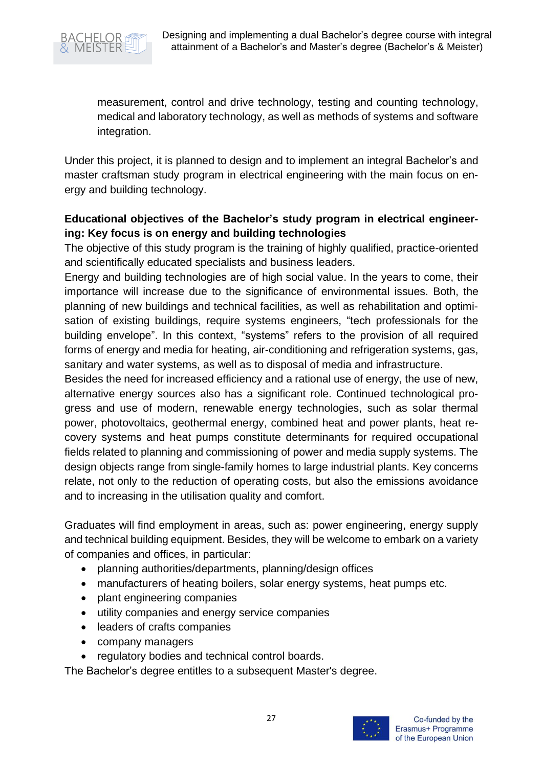

measurement, control and drive technology, testing and counting technology, medical and laboratory technology, as well as methods of systems and software integration.

Under this project, it is planned to design and to implement an integral Bachelor's and master craftsman study program in electrical engineering with the main focus on energy and building technology.

### **Educational objectives of the Bachelor's study program in electrical engineering: Key focus is on energy and building technologies**

The objective of this study program is the training of highly qualified, practice-oriented and scientifically educated specialists and business leaders.

Energy and building technologies are of high social value. In the years to come, their importance will increase due to the significance of environmental issues. Both, the planning of new buildings and technical facilities, as well as rehabilitation and optimisation of existing buildings, require systems engineers, "tech professionals for the building envelope". In this context, "systems" refers to the provision of all required forms of energy and media for heating, air-conditioning and refrigeration systems, gas, sanitary and water systems, as well as to disposal of media and infrastructure.

Besides the need for increased efficiency and a rational use of energy, the use of new, alternative energy sources also has a significant role. Continued technological progress and use of modern, renewable energy technologies, such as solar thermal power, photovoltaics, geothermal energy, combined heat and power plants, heat recovery systems and heat pumps constitute determinants for required occupational fields related to planning and commissioning of power and media supply systems. The design objects range from single-family homes to large industrial plants. Key concerns relate, not only to the reduction of operating costs, but also the emissions avoidance and to increasing in the utilisation quality and comfort.

Graduates will find employment in areas, such as: power engineering, energy supply and technical building equipment. Besides, they will be welcome to embark on a variety of companies and offices, in particular:

- planning authorities/departments, planning/design offices
- manufacturers of heating boilers, solar energy systems, heat pumps etc.
- plant engineering companies
- utility companies and energy service companies
- leaders of crafts companies
- company managers
- regulatory bodies and technical control boards.

The Bachelor's degree entitles to a subsequent Master's degree.

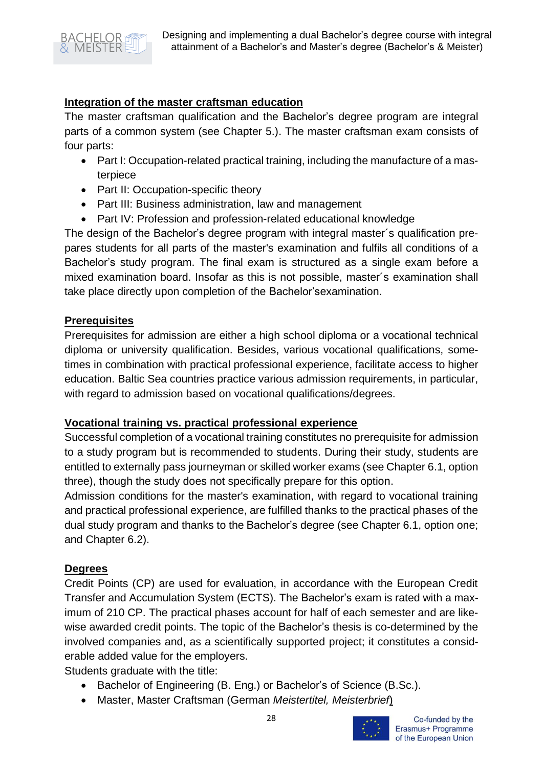

#### **Integration of the master craftsman education**

The master craftsman qualification and the Bachelor's degree program are integral parts of a common system (see Chapter 5.). The master craftsman exam consists of four parts:

- Part I: Occupation-related practical training, including the manufacture of a masterpiece
- Part II: Occupation-specific theory
- Part III: Business administration, law and management
- Part IV: Profession and profession-related educational knowledge

The design of the Bachelor's degree program with integral master´s qualification prepares students for all parts of the master's examination and fulfils all conditions of a Bachelor's study program. The final exam is structured as a single exam before a mixed examination board. Insofar as this is not possible, master´s examination shall take place directly upon completion of the Bachelor'sexamination.

#### **Prerequisites**

Prerequisites for admission are either a high school diploma or a vocational technical diploma or university qualification. Besides, various vocational qualifications, sometimes in combination with practical professional experience, facilitate access to higher education. Baltic Sea countries practice various admission requirements, in particular, with regard to admission based on vocational qualifications/degrees.

#### **Vocational training vs. practical professional experience**

Successful completion of a vocational training constitutes no prerequisite for admission to a study program but is recommended to students. During their study, students are entitled to externally pass journeyman or skilled worker exams (see Chapter 6.1, option three), though the study does not specifically prepare for this option.

Admission conditions for the master's examination, with regard to vocational training and practical professional experience, are fulfilled thanks to the practical phases of the dual study program and thanks to the Bachelor's degree (see Chapter 6.1, option one; and Chapter 6.2).

#### **Degrees**

Credit Points (CP) are used for evaluation, in accordance with the European Credit Transfer and Accumulation System (ECTS). The Bachelor's exam is rated with a maximum of 210 CP. The practical phases account for half of each semester and are likewise awarded credit points. The topic of the Bachelor's thesis is co-determined by the involved companies and, as a scientifically supported project; it constitutes a considerable added value for the employers.

Students graduate with the title:

- Bachelor of Engineering (B. Eng.) or Bachelor's of Science (B.Sc.).
- Master, Master Craftsman (German *Meistertitel, Meisterbrief*)

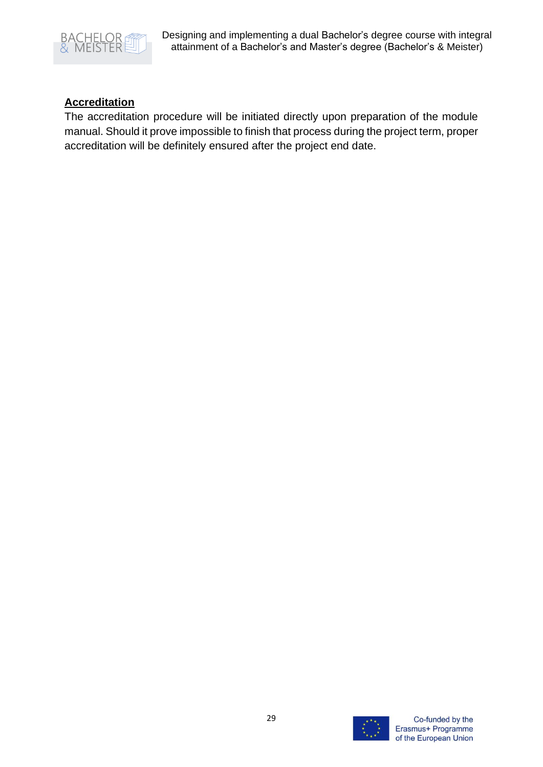

# **Accreditation**

The accreditation procedure will be initiated directly upon preparation of the module manual. Should it prove impossible to finish that process during the project term, proper accreditation will be definitely ensured after the project end date.

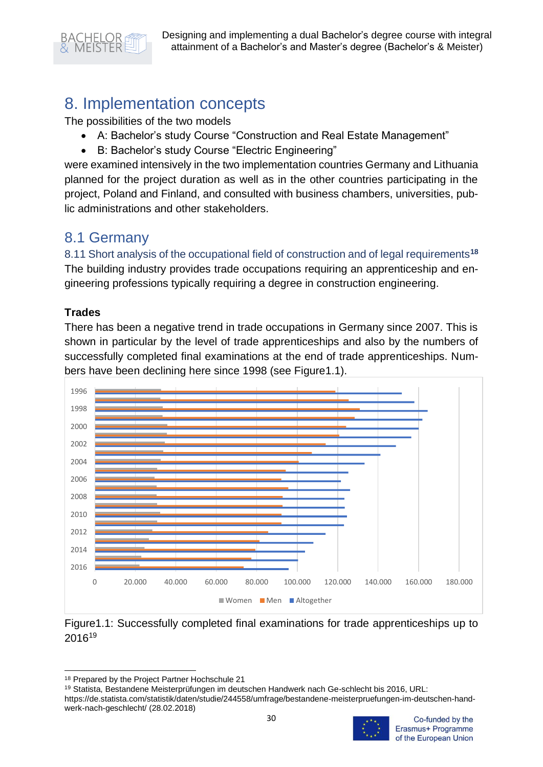

# <span id="page-30-0"></span>8. Implementation concepts

The possibilities of the two models

- A: Bachelor's study Course "Construction and Real Estate Management"
- B: Bachelor's study Course "Electric Engineering"

were examined intensively in the two implementation countries Germany and Lithuania planned for the project duration as well as in the other countries participating in the project, Poland and Finland, and consulted with business chambers, universities, public administrations and other stakeholders.

# <span id="page-30-1"></span>8.1 Germany

<span id="page-30-2"></span>8.11 Short analysis of the occupational field of construction and of legal requirements**<sup>18</sup>** The building industry provides trade occupations requiring an apprenticeship and engineering professions typically requiring a degree in construction engineering.

## **Trades**

There has been a negative trend in trade occupations in Germany since 2007. This is shown in particular by the level of trade apprenticeships and also by the numbers of successfully completed final examinations at the end of trade apprenticeships. Numbers have been declining here since 1998 (see Figure1.1).





<sup>18</sup> Prepared by the Project Partner Hochschule 21

https://de.statista.com/statistik/daten/studie/244558/umfrage/bestandene-meisterpruefungen-im-deutschen-handwerk-nach-geschlecht/ (28.02.2018)



<sup>19</sup> Statista, Bestandene Meisterprüfungen im deutschen Handwerk nach Ge-schlecht bis 2016, URL: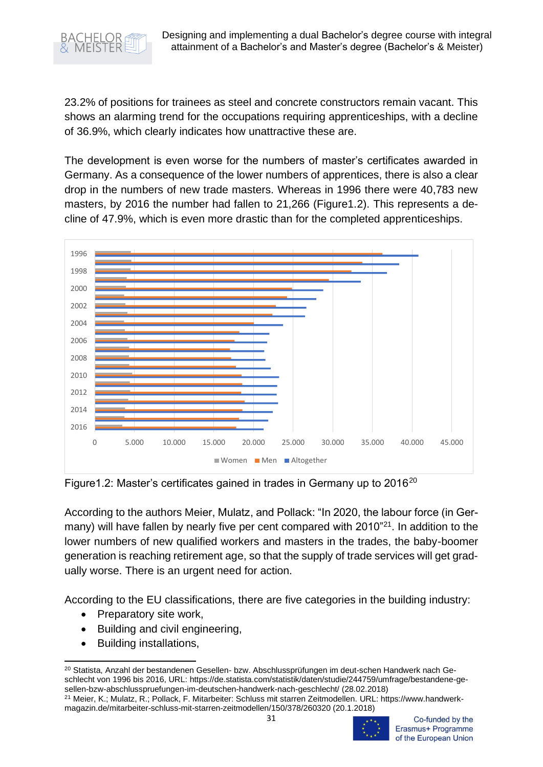

23.2% of positions for trainees as steel and concrete constructors remain vacant. This shows an alarming trend for the occupations requiring apprenticeships, with a decline of 36.9%, which clearly indicates how unattractive these are.

The development is even worse for the numbers of master's certificates awarded in Germany. As a consequence of the lower numbers of apprentices, there is also a clear drop in the numbers of new trade masters. Whereas in 1996 there were 40,783 new masters, by 2016 the number had fallen to 21,266 (Figure1.2). This represents a decline of 47.9%, which is even more drastic than for the completed apprenticeships.



Figure1.2: Master's certificates gained in trades in Germany up to 2016<sup>20</sup>

According to the authors Meier, Mulatz, and Pollack: "In 2020, the labour force (in Germany) will have fallen by nearly five per cent compared with 2010<sup>"21</sup>. In addition to the lower numbers of new qualified workers and masters in the trades, the baby-boomer generation is reaching retirement age, so that the supply of trade services will get gradually worse. There is an urgent need for action.

According to the EU classifications, there are five categories in the building industry:

- Preparatory site work,
- Building and civil engineering,
- Building installations,

<sup>21</sup> Meier, K.; Mulatz, R.; Pollack, F. Mitarbeiter: Schluss mit starren Zeitmodellen. URL: https://www.handwerkmagazin.de/mitarbeiter-schluss-mit-starren-zeitmodellen/150/378/260320 (20.1.2018)



Co-funded by the Erasmus+ Programme of the European Union

<sup>&</sup>lt;sup>20</sup> Statista, Anzahl der bestandenen Gesellen- bzw. Abschlussprüfungen im deut-schen Handwerk nach Geschlecht von 1996 bis 2016, URL: https://de.statista.com/statistik/daten/studie/244759/umfrage/bestandene-gesellen-bzw-abschlusspruefungen-im-deutschen-handwerk-nach-geschlecht/ (28.02.2018)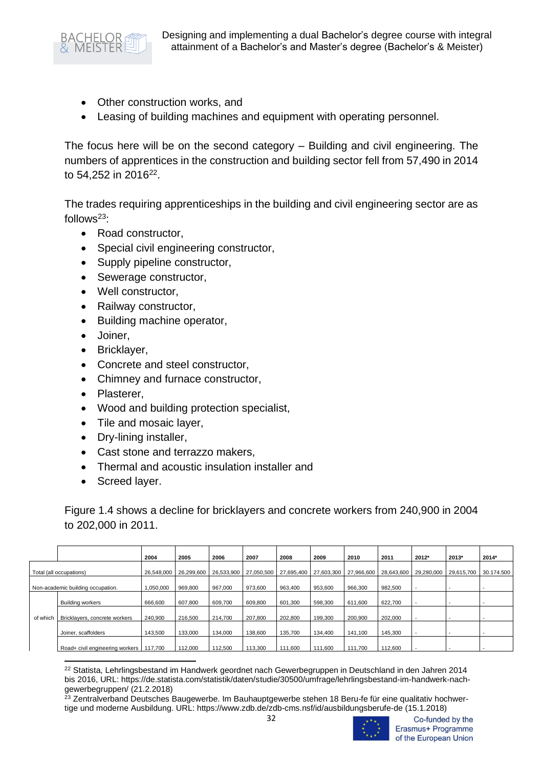

- Other construction works, and
- Leasing of building machines and equipment with operating personnel.

The focus here will be on the second category – Building and civil engineering. The numbers of apprentices in the construction and building sector fell from 57,490 in 2014 to 54,252 in 2016<sup>22</sup>.

The trades requiring apprenticeships in the building and civil engineering sector are as follows $23$ :

- Road constructor,
- Special civil engineering constructor,
- Supply pipeline constructor,
- Sewerage constructor,
- Well constructor,
- Railway constructor,
- Building machine operator,
- Joiner,
- Bricklayer,
- Concrete and steel constructor,
- Chimney and furnace constructor,
- Plasterer,
- Wood and building protection specialist,
- Tile and mosaic layer,
- Dry-lining installer,
- Cast stone and terrazzo makers,
- Thermal and acoustic insulation installer and
- Screed layer.

Figure 1.4 shows a decline for bricklayers and concrete workers from 240,900 in 2004 to 202,000 in 2011.

|                                   |                                 | 2004       | 2005       | 2006       | 2007       | 2008       | 2009       | 2010       | 2011       | 2012*      | 2013*      | 2014*      |
|-----------------------------------|---------------------------------|------------|------------|------------|------------|------------|------------|------------|------------|------------|------------|------------|
| Total (all occupations)           |                                 | 26.548.000 | 26,299,600 | 26.533.900 | 27.050.500 | 27,695,400 | 27.603.300 | 27,966,600 | 28.643.600 | 29,280,000 | 29.615.700 | 30.174.500 |
| Non-academic building occupation. |                                 | 1,050,000  | 969,800    | 967,000    | 973,600    | 963,400    | 953,600    | 966,300    | 982,500    |            |            |            |
| of which                          | <b>Building workers</b>         | 666,600    | 607.800    | 609.700    | 609,800    | 601,300    | 598,300    | 611.600    | 622,700    |            |            |            |
|                                   | Bricklayers, concrete workers   | 240,900    | 216,500    | 214,700    | 207,800    | 202,800    | 199,300    | 200,900    | 202,000    |            |            |            |
|                                   | Joiner, scaffolders             | 143.500    | 133,000    | 134.000    | 138,600    | 135.700    | 134,400    | 141.100    | 145,300    |            |            |            |
|                                   | Road+ civil engineering workers | 117.700    | 112,000    | 112.500    | 113.300    | 111.600    | 111.600    | 111.700    | 112,600    |            |            |            |

<sup>22</sup> Statista, Lehrlingsbestand im Handwerk geordnet nach Gewerbegruppen in Deutschland in den Jahren 2014 bis 2016, URL: https://de.statista.com/statistik/daten/studie/30500/umfrage/lehrlingsbestand-im-handwerk-nachgewerbegruppen/ (21.2.2018)

<sup>&</sup>lt;sup>23</sup> Zentralverband Deutsches Baugewerbe. Im Bauhauptgewerbe stehen 18 Beru-fe für eine qualitativ hochwertige und moderne Ausbildung. URL: https://www.zdb.de/zdb-cms.nsf/id/ausbildungsberufe-de (15.1.2018)



Co-funded by the Erasmus+ Programme of the European Union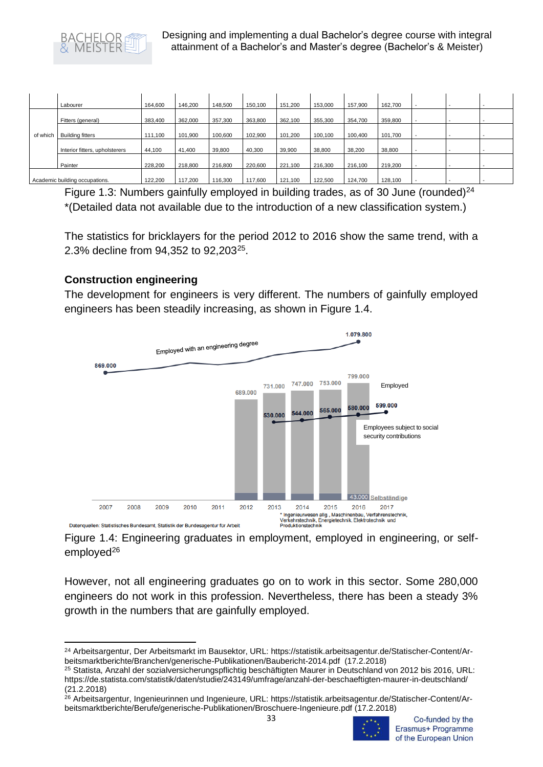

|          | Labourer                       | 164.600 | 146.200 | 148,500 | 150,100 | 151.200 | 153,000 | 157.900 | 162,700 |  |  |
|----------|--------------------------------|---------|---------|---------|---------|---------|---------|---------|---------|--|--|
| of which | Fitters (general)              | 383,400 | 362,000 | 357,300 | 363,800 | 362,100 | 355,300 | 354,700 | 359,800 |  |  |
|          | <b>Building fitters</b>        | 111,100 | 101,900 | 100,600 | 102,900 | 101.200 | 100,100 | 100,400 | 101,700 |  |  |
|          | Interior fitters, upholsterers | 44,100  | 41,400  | 39,800  | 40,300  | 39,900  | 38,800  | 38,200  | 38,800  |  |  |
|          | Painter                        | 228,200 | 218,800 | 216,800 | 220,600 | 221,100 | 216,300 | 216,100 | 219,200 |  |  |
|          | Academic building occupations. | 122,200 | 117.200 | 116,300 | 117.600 | 121.100 | 122.500 | 124,700 | 128,100 |  |  |

Figure 1.3: Numbers gainfully employed in building trades, as of 30 June (rounded) $^{24}$ \*(Detailed data not available due to the introduction of a new classification system.)

The statistics for bricklayers for the period 2012 to 2016 show the same trend, with a 2.3% decline from 94,352 to 92,203<sup>25</sup>.

### **Construction engineering**

The development for engineers is very different. The numbers of gainfully employed engineers has been steadily increasing, as shown in Figure 1.4.



Figure 1.4: Engineering graduates in employment, employed in engineering, or selfemployed<sup>26</sup>

However, not all engineering graduates go on to work in this sector. Some 280,000 engineers do not work in this profession. Nevertheless, there has been a steady 3% growth in the numbers that are gainfully employed.

<sup>26</sup> Arbeitsargentur, Ingenieurinnen und Ingenieure, URL: https://statistik.arbeitsagentur.de/Statischer-Content/Arbeitsmarktberichte/Berufe/generische-Publikationen/Broschuere-Ingenieure.pdf (17.2.2018)



<sup>24</sup> Arbeitsargentur, Der Arbeitsmarkt im Bausektor, URL: https://statistik.arbeitsagentur.de/Statischer-Content/Arbeitsmarktberichte/Branchen/generische-Publikationen/Baubericht-2014.pdf (17.2.2018)

<sup>25</sup> Statista, Anzahl der sozialversicherungspflichtig beschäftigten Maurer in Deutschland von 2012 bis 2016, URL: https://de.statista.com/statistik/daten/studie/243149/umfrage/anzahl-der-beschaeftigten-maurer-in-deutschland/ (21.2.2018)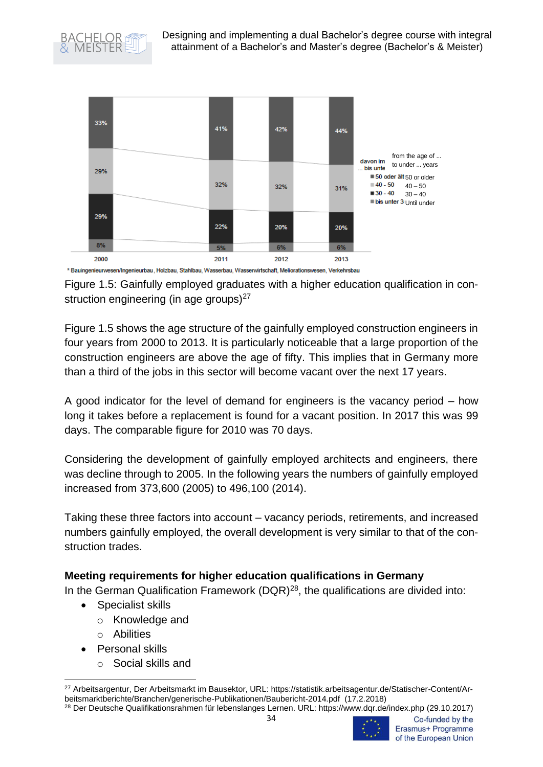



Figure 1.5: Gainfully employed graduates with a higher education qualification in construction engineering (in age groups) $27$ 

Figure 1.5 shows the age structure of the gainfully employed construction engineers in four years from 2000 to 2013. It is particularly noticeable that a large proportion of the construction engineers are above the age of fifty. This implies that in Germany more than a third of the jobs in this sector will become vacant over the next 17 years.

A good indicator for the level of demand for engineers is the vacancy period – how long it takes before a replacement is found for a vacant position. In 2017 this was 99 days. The comparable figure for 2010 was 70 days.

Considering the development of gainfully employed architects and engineers, there was decline through to 2005. In the following years the numbers of gainfully employed increased from 373,600 (2005) to 496,100 (2014).

Taking these three factors into account – vacancy periods, retirements, and increased numbers gainfully employed, the overall development is very similar to that of the construction trades.

#### **Meeting requirements for higher education qualifications in Germany**

In the German Qualification Framework (DQR) $^{28}$ , the qualifications are divided into:

- Specialist skills
	- o Knowledge and
	- o Abilities
- Personal skills
	- o Social skills and

<sup>27</sup> Arbeitsargentur, Der Arbeitsmarkt im Bausektor, URL: https://statistik.arbeitsagentur.de/Statischer-Content/Arbeitsmarktberichte/Branchen/generische-Publikationen/Baubericht-2014.pdf (17.2.2018)

<sup>28</sup> Der Deutsche Qualifikationsrahmen für lebenslanges Lernen. URL: https://www.dqr.de/index.php (29.10.2017)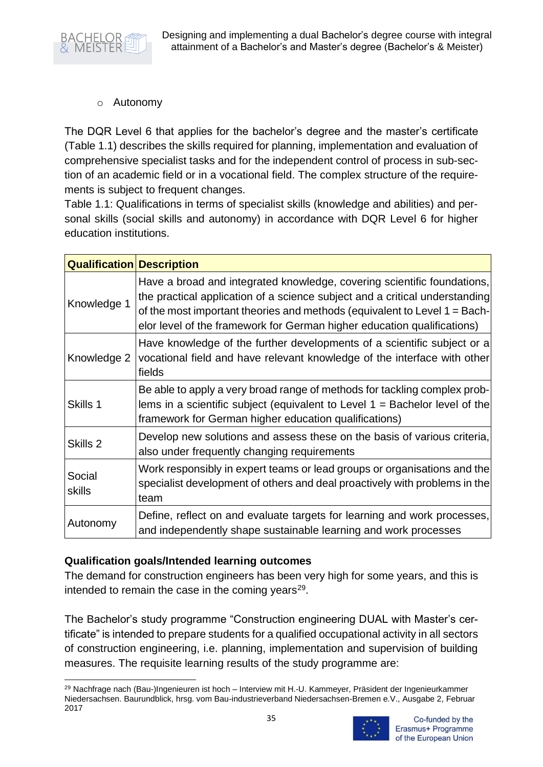Designing and implementing a dual Bachelor's degree course with integral attainment of a Bachelor's and Master's degree (Bachelor's & Meister)



o Autonomy

The DQR Level 6 that applies for the bachelor's degree and the master's certificate (Table 1.1) describes the skills required for planning, implementation and evaluation of comprehensive specialist tasks and for the independent control of process in sub-section of an academic field or in a vocational field. The complex structure of the requirements is subject to frequent changes.

Table 1.1: Qualifications in terms of specialist skills (knowledge and abilities) and personal skills (social skills and autonomy) in accordance with DQR Level 6 for higher education institutions.

| <b>Qualification Description</b> |                                                                                                                                                                                                                                                                                                                |
|----------------------------------|----------------------------------------------------------------------------------------------------------------------------------------------------------------------------------------------------------------------------------------------------------------------------------------------------------------|
| Knowledge 1                      | Have a broad and integrated knowledge, covering scientific foundations,<br>the practical application of a science subject and a critical understanding<br>of the most important theories and methods (equivalent to Level 1 = Bach-<br>elor level of the framework for German higher education qualifications) |
| Knowledge 2                      | Have knowledge of the further developments of a scientific subject or a<br>vocational field and have relevant knowledge of the interface with other<br>fields                                                                                                                                                  |
| Skills 1                         | Be able to apply a very broad range of methods for tackling complex prob-<br>lems in a scientific subject (equivalent to Level $1 =$ Bachelor level of the<br>framework for German higher education qualifications)                                                                                            |
| Skills 2                         | Develop new solutions and assess these on the basis of various criteria,<br>also under frequently changing requirements                                                                                                                                                                                        |
| Social<br>skills                 | Work responsibly in expert teams or lead groups or organisations and the<br>specialist development of others and deal proactively with problems in the<br>team                                                                                                                                                 |
| Autonomy                         | Define, reflect on and evaluate targets for learning and work processes,<br>and independently shape sustainable learning and work processes                                                                                                                                                                    |

#### **Qualification goals/Intended learning outcomes**

The demand for construction engineers has been very high for some years, and this is intended to remain the case in the coming years $29$ .

The Bachelor's study programme "Construction engineering DUAL with Master's certificate" is intended to prepare students for a qualified occupational activity in all sectors of construction engineering, i.e. planning, implementation and supervision of building measures. The requisite learning results of the study programme are:

<sup>29</sup> Nachfrage nach (Bau-)Ingenieuren ist hoch – Interview mit H.-U. Kammeyer, Präsident der Ingenieurkammer Niedersachsen. Baurundblick, hrsg. vom Bau-industrieverband Niedersachsen-Bremen e.V., Ausgabe 2, Februar 2017

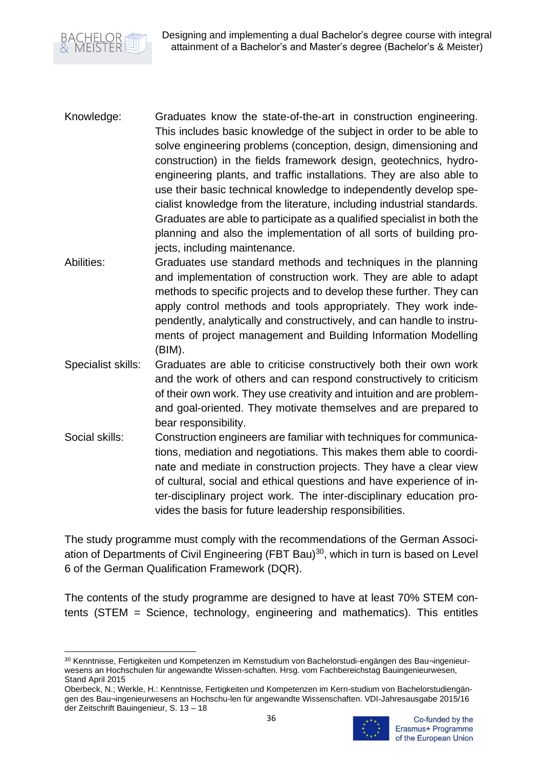

- Knowledge: Graduates know the state-of-the-art in construction engineering. This includes basic knowledge of the subject in order to be able to solve engineering problems (conception, design, dimensioning and construction) in the fields framework design, geotechnics, hydroengineering plants, and traffic installations. They are also able to use their basic technical knowledge to independently develop specialist knowledge from the literature, including industrial standards. Graduates are able to participate as a qualified specialist in both the planning and also the implementation of all sorts of building projects, including maintenance.
- Abilities: Graduates use standard methods and techniques in the planning and implementation of construction work. They are able to adapt methods to specific projects and to develop these further. They can apply control methods and tools appropriately. They work independently, analytically and constructively, and can handle to instruments of project management and Building Information Modelling (BIM).
- Specialist skills: Graduates are able to criticise constructively both their own work and the work of others and can respond constructively to criticism of their own work. They use creativity and intuition and are problemand goal-oriented. They motivate themselves and are prepared to bear responsibility.
- Social skills: Construction engineers are familiar with techniques for communications, mediation and negotiations. This makes them able to coordinate and mediate in construction projects. They have a clear view of cultural, social and ethical questions and have experience of inter-disciplinary project work. The inter-disciplinary education provides the basis for future leadership responsibilities.

The study programme must comply with the recommendations of the German Association of Departments of Civil Engineering (FBT Bau)<sup>30</sup>, which in turn is based on Level 6 of the German Qualification Framework (DQR).

The contents of the study programme are designed to have at least 70% STEM contents (STEM = Science, technology, engineering and mathematics). This entitles

Oberbeck, N.; Werkle, H.: Kenntnisse, Fertigkeiten und Kompetenzen im Kern-studium von Bachelorstudiengängen des Bau¬ingenieurwesens an Hochschu-len für angewandte Wissenschaften. VDI-Jahresausgabe 2015/16 der Zeitschrift Bauingenieur, S. 13 – 18



<sup>30</sup> Kenntnisse, Fertigkeiten und Kompetenzen im Kernstudium von Bachelorstudi-engängen des Bau¬ingenieurwesens an Hochschulen für angewandte Wissen-schaften. Hrsg. vom Fachbereichstag Bauingenieurwesen, Stand April 2015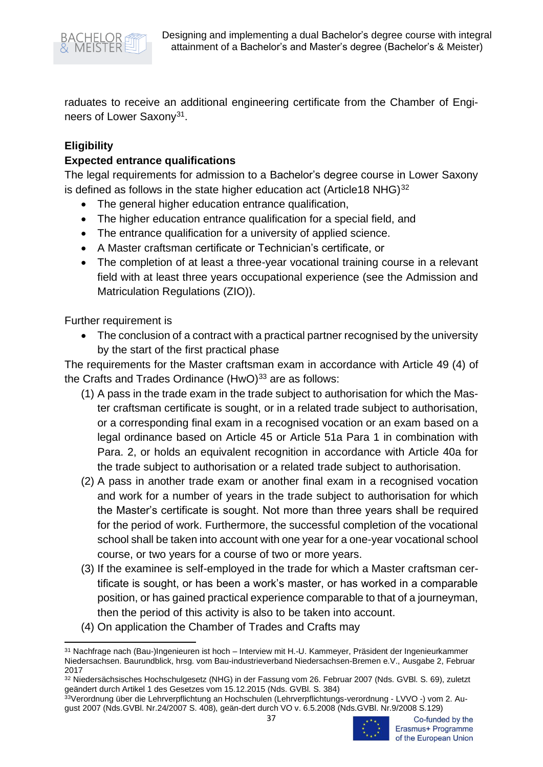

raduates to receive an additional engineering certificate from the Chamber of Engineers of Lower Saxony<sup>31</sup>.

### **Eligibility**

#### **Expected entrance qualifications**

The legal requirements for admission to a Bachelor's degree course in Lower Saxony is defined as follows in the state higher education act (Article18 NHG) $^{32}$ 

- The general higher education entrance qualification,
- The higher education entrance qualification for a special field, and
- The entrance qualification for a university of applied science.
- A Master craftsman certificate or Technician's certificate, or
- The completion of at least a three-year vocational training course in a relevant field with at least three years occupational experience (see the Admission and Matriculation Regulations (ZIO)).

Further requirement is

• The conclusion of a contract with a practical partner recognised by the university by the start of the first practical phase

The requirements for the Master craftsman exam in accordance with Article 49 (4) of the Crafts and Trades Ordinance  $(HwO)<sup>33</sup>$  are as follows:

- (1) A pass in the trade exam in the trade subject to authorisation for which the Master craftsman certificate is sought, or in a related trade subject to authorisation, or a corresponding final exam in a recognised vocation or an exam based on a legal ordinance based on Article 45 or Article 51a Para 1 in combination with Para. 2, or holds an equivalent recognition in accordance with Article 40a for the trade subject to authorisation or a related trade subject to authorisation.
- (2) A pass in another trade exam or another final exam in a recognised vocation and work for a number of years in the trade subject to authorisation for which the Master's certificate is sought. Not more than three years shall be required for the period of work. Furthermore, the successful completion of the vocational school shall be taken into account with one year for a one-year vocational school course, or two years for a course of two or more years.
- (3) If the examinee is self-employed in the trade for which a Master craftsman certificate is sought, or has been a work's master, or has worked in a comparable position, or has gained practical experience comparable to that of a journeyman, then the period of this activity is also to be taken into account.
- (4) On application the Chamber of Trades and Crafts may

<sup>33</sup>Verordnung über die Lehrverpflichtung an Hochschulen (Lehrverpflichtungs-verordnung - LVVO -) vom 2. August 2007 (Nds.GVBl. Nr.24/2007 S. 408), geän-dert durch VO v. 6.5.2008 (Nds.GVBl. Nr.9/2008 S.129)



Co-funded by the Erasmus+ Programme of the European Union

<sup>31</sup> Nachfrage nach (Bau-)Ingenieuren ist hoch – Interview mit H.-U. Kammeyer, Präsident der Ingenieurkammer Niedersachsen. Baurundblick, hrsg. vom Bau-industrieverband Niedersachsen-Bremen e.V., Ausgabe 2, Februar 2017

<sup>32</sup> Niedersächsisches Hochschulgesetz (NHG) in der Fassung vom 26. Februar 2007 (Nds. GVBI. S. 69), zuletzt geändert durch Artikel 1 des Gesetzes vom 15.12.2015 (Nds. GVBl. S. 384)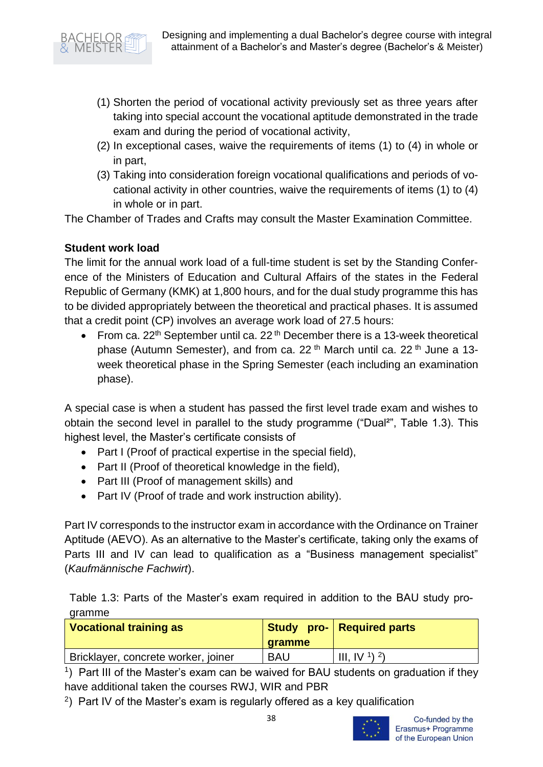- (1) Shorten the period of vocational activity previously set as three years after taking into special account the vocational aptitude demonstrated in the trade exam and during the period of vocational activity,
- (2) In exceptional cases, waive the requirements of items (1) to (4) in whole or in part,
- (3) Taking into consideration foreign vocational qualifications and periods of vocational activity in other countries, waive the requirements of items (1) to (4) in whole or in part.

The Chamber of Trades and Crafts may consult the Master Examination Committee.

## **Student work load**

The limit for the annual work load of a full-time student is set by the Standing Conference of the Ministers of Education and Cultural Affairs of the states in the Federal Republic of Germany (KMK) at 1,800 hours, and for the dual study programme this has to be divided appropriately between the theoretical and practical phases. It is assumed that a credit point (CP) involves an average work load of 27.5 hours:

• From ca.  $22<sup>th</sup>$  September until ca.  $22<sup>th</sup>$  December there is a 13-week theoretical phase (Autumn Semester), and from ca. 22<sup>th</sup> March until ca. 22<sup>th</sup> June a 13week theoretical phase in the Spring Semester (each including an examination phase).

A special case is when a student has passed the first level trade exam and wishes to obtain the second level in parallel to the study programme ("Dual²", Table 1.3). This highest level, the Master's certificate consists of

- Part I (Proof of practical expertise in the special field),
- Part II (Proof of theoretical knowledge in the field),
- Part III (Proof of management skills) and
- Part IV (Proof of trade and work instruction ability).

Part IV corresponds to the instructor exam in accordance with the Ordinance on Trainer Aptitude (AEVO). As an alternative to the Master's certificate, taking only the exams of Parts III and IV can lead to qualification as a "Business management specialist" (*Kaufmännische Fachwirt*).

Table 1.3: Parts of the Master's exam required in addition to the BAU study programme

| <b>Vocational training as</b>       | <b>gramme</b> | Study pro- Required parts |
|-------------------------------------|---------------|---------------------------|
| Bricklayer, concrete worker, joiner | <b>BAU</b>    | $III, IV1$ <sup>2</sup> ) |

<sup>1</sup>) Part III of the Master's exam can be waived for BAU students on graduation if they have additional taken the courses RWJ, WIR and PBR

 $^{2}$ ) Part IV of the Master's exam is regularly offered as a key qualification

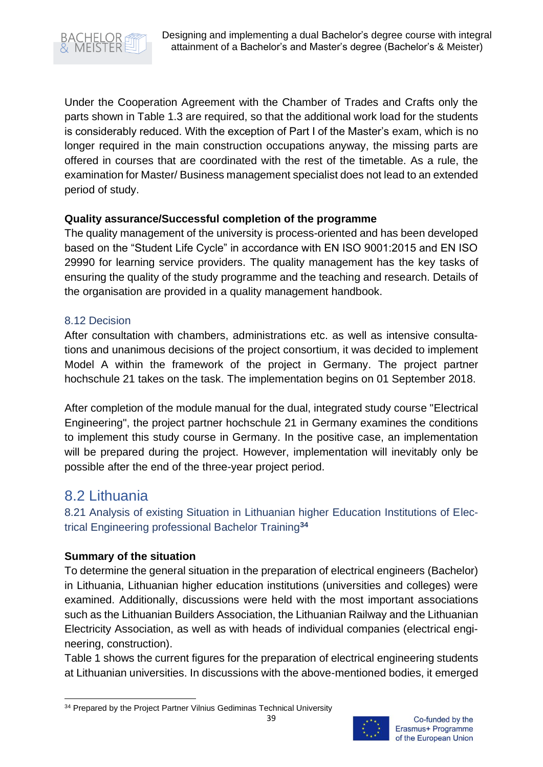

Under the Cooperation Agreement with the Chamber of Trades and Crafts only the parts shown in Table 1.3 are required, so that the additional work load for the students is considerably reduced. With the exception of Part I of the Master's exam, which is no longer required in the main construction occupations anyway, the missing parts are offered in courses that are coordinated with the rest of the timetable. As a rule, the examination for Master/ Business management specialist does not lead to an extended period of study.

#### **Quality assurance/Successful completion of the programme**

The quality management of the university is process-oriented and has been developed based on the "Student Life Cycle" in accordance with EN ISO 9001:2015 and EN ISO 29990 for learning service providers. The quality management has the key tasks of ensuring the quality of the study programme and the teaching and research. Details of the organisation are provided in a quality management handbook.

#### <span id="page-39-0"></span>8.12 Decision

After consultation with chambers, administrations etc. as well as intensive consultations and unanimous decisions of the project consortium, it was decided to implement Model A within the framework of the project in Germany. The project partner hochschule 21 takes on the task. The implementation begins on 01 September 2018.

After completion of the module manual for the dual, integrated study course "Electrical Engineering", the project partner hochschule 21 in Germany examines the conditions to implement this study course in Germany. In the positive case, an implementation will be prepared during the project. However, implementation will inevitably only be possible after the end of the three-year project period.

# <span id="page-39-1"></span>8.2 Lithuania

<span id="page-39-2"></span>8.21 Analysis of existing Situation in Lithuanian higher Education Institutions of Electrical Engineering professional Bachelor Training**<sup>34</sup>**

#### **Summary of the situation**

To determine the general situation in the preparation of electrical engineers (Bachelor) in Lithuania, Lithuanian higher education institutions (universities and colleges) were examined. Additionally, discussions were held with the most important associations such as the Lithuanian Builders Association, the Lithuanian Railway and the Lithuanian Electricity Association, as well as with heads of individual companies (electrical engineering, construction).

Table 1 shows the current figures for the preparation of electrical engineering students at Lithuanian universities. In discussions with the above-mentioned bodies, it emerged

<sup>&</sup>lt;sup>34</sup> Prepared by the Project Partner Vilnius Gediminas Technical University

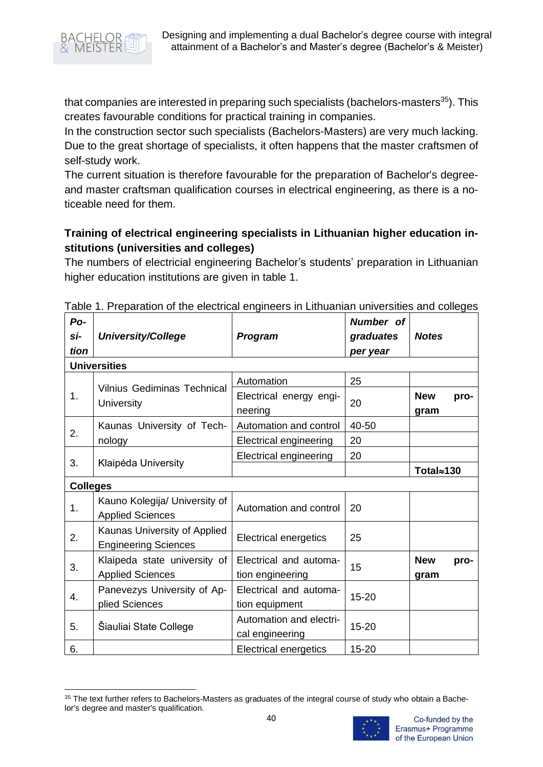

that companies are interested in preparing such specialists (bachelors-masters $35$ ). This creates favourable conditions for practical training in companies.

In the construction sector such specialists (Bachelors-Masters) are very much lacking. Due to the great shortage of specialists, it often happens that the master craftsmen of self-study work.

The current situation is therefore favourable for the preparation of Bachelor's degreeand master craftsman qualification courses in electrical engineering, as there is a noticeable need for them.

# **Training of electrical engineering specialists in Lithuanian higher education institutions (universities and colleges)**

The numbers of electricial engineering Bachelor's students' preparation in Lithuanian higher education institutions are given in table 1.

| Po-             |                                                             |                                            | Number of |                            |
|-----------------|-------------------------------------------------------------|--------------------------------------------|-----------|----------------------------|
| si-             | <b>University/College</b>                                   | Program                                    | graduates | <b>Notes</b>               |
| tion            |                                                             |                                            | per year  |                            |
|                 | <b>Universities</b>                                         |                                            |           |                            |
|                 | <b>Vilnius Gediminas Technical</b>                          | Automation                                 | 25        |                            |
| 1.              | University                                                  | Electrical energy engi-<br>neering         | 20        | <b>New</b><br>pro-<br>gram |
|                 | Kaunas University of Tech-                                  | Automation and control                     | 40-50     |                            |
| 2.              | nology                                                      | <b>Electrical engineering</b>              | 20        |                            |
|                 |                                                             | Electrical engineering                     | 20        |                            |
| 3.              | Klaipėda University                                         |                                            |           | Total≈130                  |
| <b>Colleges</b> |                                                             |                                            |           |                            |
| 1.              | Kauno Kolegija/ University of<br><b>Applied Sciences</b>    | Automation and control                     | 20        |                            |
| 2.              | Kaunas University of Applied<br><b>Engineering Sciences</b> | <b>Electrical energetics</b>               | 25        |                            |
| 3.              | Klaipeda state university of<br><b>Applied Sciences</b>     | Electrical and automa-<br>tion engineering | 15        | <b>New</b><br>pro-<br>gram |
| 4.              | Panevezys University of Ap-<br>plied Sciences               | Electrical and automa-<br>tion equipment   | 15-20     |                            |
| 5.              | Šiauliai State College                                      | Automation and electri-<br>cal engineering | 15-20     |                            |
| 6.              |                                                             | <b>Electrical energetics</b>               | 15-20     |                            |

Table 1. Preparation of the electrical engineers in Lithuanian universities and colleges

<sup>35</sup> The text further refers to Bachelors-Masters as graduates of the integral course of study who obtain a Bachelor's degree and master's qualification.

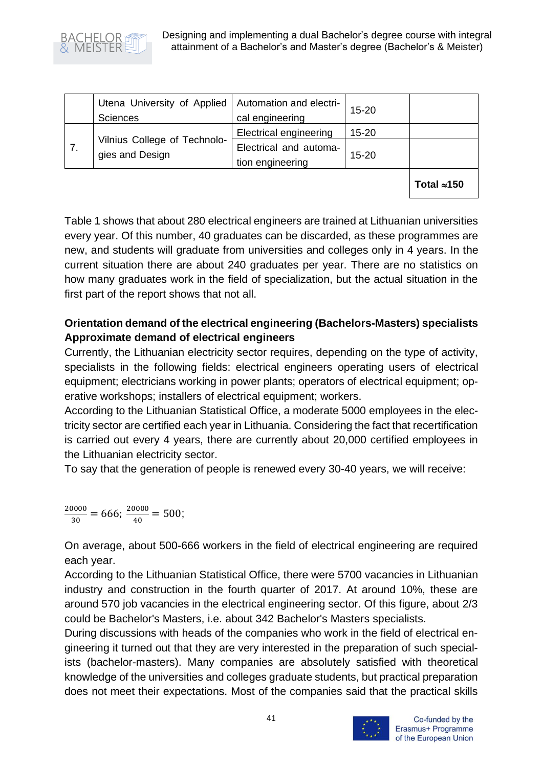

| Utena University of Applied   Automation and electri-<br><b>Sciences</b> | cal engineering                            | $15 - 20$ |  |
|--------------------------------------------------------------------------|--------------------------------------------|-----------|--|
|                                                                          | <b>Electrical engineering</b>              | $15 - 20$ |  |
| Vilnius College of Technolo-<br>gies and Design                          | Electrical and automa-<br>tion engineering | $15 - 20$ |  |
|                                                                          |                                            |           |  |

**Total 150**

Table 1 shows that about 280 electrical engineers are trained at Lithuanian universities every year. Of this number, 40 graduates can be discarded, as these programmes are new, and students will graduate from universities and colleges only in 4 years. In the current situation there are about 240 graduates per year. There are no statistics on how many graduates work in the field of specialization, but the actual situation in the first part of the report shows that not all.

## **Orientation demand of the electrical engineering (Bachelors-Masters) specialists Approximate demand of electrical engineers**

Currently, the Lithuanian electricity sector requires, depending on the type of activity, specialists in the following fields: electrical engineers operating users of electrical equipment; electricians working in power plants; operators of electrical equipment; operative workshops; installers of electrical equipment; workers.

According to the Lithuanian Statistical Office, a moderate 5000 employees in the electricity sector are certified each year in Lithuania. Considering the fact that recertification is carried out every 4 years, there are currently about 20,000 certified employees in the Lithuanian electricity sector.

To say that the generation of people is renewed every 30-40 years, we will receive:

$$
\frac{20000}{30} = 666; \frac{20000}{40} = 500;
$$

On average, about 500-666 workers in the field of electrical engineering are required each year.

According to the Lithuanian Statistical Office, there were 5700 vacancies in Lithuanian industry and construction in the fourth quarter of 2017. At around 10%, these are around 570 job vacancies in the electrical engineering sector. Of this figure, about 2/3 could be Bachelor's Masters, i.e. about 342 Bachelor's Masters specialists.

During discussions with heads of the companies who work in the field of electrical engineering it turned out that they are very interested in the preparation of such specialists (bachelor-masters). Many companies are absolutely satisfied with theoretical knowledge of the universities and colleges graduate students, but practical preparation does not meet their expectations. Most of the companies said that the practical skills

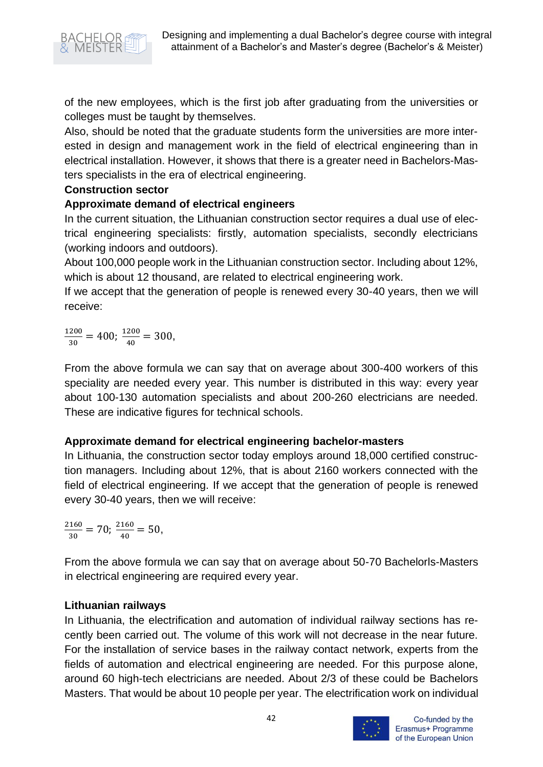

of the new employees, which is the first job after graduating from the universities or colleges must be taught by themselves.

Also, should be noted that the graduate students form the universities are more interested in design and management work in the field of electrical engineering than in electrical installation. However, it shows that there is a greater need in Bachelors-Masters specialists in the era of electrical engineering.

#### **Construction sector**

## **Approximate demand of electrical engineers**

In the current situation, the Lithuanian construction sector requires a dual use of electrical engineering specialists: firstly, automation specialists, secondly electricians (working indoors and outdoors).

About 100,000 people work in the Lithuanian construction sector. Including about 12%, which is about 12 thousand, are related to electrical engineering work.

If we accept that the generation of people is renewed every 30-40 years, then we will receive:

1200  $\frac{200}{30}$  = 400;  $\frac{1200}{40}$  $\frac{200}{40} = 300,$ 

From the above formula we can say that on average about 300-400 workers of this speciality are needed every year. This number is distributed in this way: every year about 100-130 automation specialists and about 200-260 electricians are needed. These are indicative figures for technical schools.

## **Approximate demand for electrical engineering bachelor-masters**

In Lithuania, the construction sector today employs around 18,000 certified construction managers. Including about 12%, that is about 2160 workers connected with the field of electrical engineering. If we accept that the generation of people is renewed every 30-40 years, then we will receive:

2160  $\frac{160}{30}$  = 70;  $\frac{2160}{40}$  $\frac{180}{40} = 50,$ 

From the above formula we can say that on average about 50-70 Bachelorls-Masters in electrical engineering are required every year.

#### **Lithuanian railways**

In Lithuania, the electrification and automation of individual railway sections has recently been carried out. The volume of this work will not decrease in the near future. For the installation of service bases in the railway contact network, experts from the fields of automation and electrical engineering are needed. For this purpose alone, around 60 high-tech electricians are needed. About 2/3 of these could be Bachelors Masters. That would be about 10 people per year. The electrification work on individual

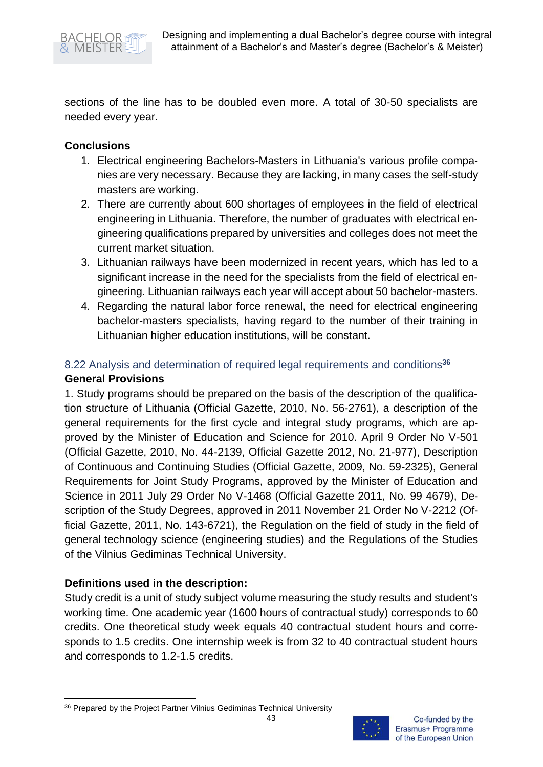

sections of the line has to be doubled even more. A total of 30-50 specialists are needed every year.

#### **Conclusions**

- 1. Electrical engineering Bachelors-Masters in Lithuania's various profile companies are very necessary. Because they are lacking, in many cases the self-study masters are working.
- 2. There are currently about 600 shortages of employees in the field of electrical engineering in Lithuania. Therefore, the number of graduates with electrical engineering qualifications prepared by universities and colleges does not meet the current market situation.
- 3. Lithuanian railways have been modernized in recent years, which has led to a significant increase in the need for the specialists from the field of electrical engineering. Lithuanian railways each year will accept about 50 bachelor-masters.
- 4. Regarding the natural labor force renewal, the need for electrical engineering bachelor-masters specialists, having regard to the number of their training in Lithuanian higher education institutions, will be constant.

### <span id="page-43-0"></span>8.22 Analysis and determination of required legal requirements and conditions**<sup>36</sup>**

#### **General Provisions**

1. Study programs should be prepared on the basis of the description of the qualification structure of Lithuania (Official Gazette, 2010, No. 56-2761), a description of the general requirements for the first cycle and integral study programs, which are approved by the Minister of Education and Science for 2010. April 9 Order No V-501 (Official Gazette, 2010, No. 44-2139, Official Gazette 2012, No. 21-977), Description of Continuous and Continuing Studies (Official Gazette, 2009, No. 59-2325), General Requirements for Joint Study Programs, approved by the Minister of Education and Science in 2011 July 29 Order No V-1468 (Official Gazette 2011, No. 99 4679), Description of the Study Degrees, approved in 2011 November 21 Order No V-2212 (Official Gazette, 2011, No. 143-6721), the Regulation on the field of study in the field of general technology science (engineering studies) and the Regulations of the Studies of the Vilnius Gediminas Technical University.

## **Definitions used in the description:**

Study credit is a unit of study subject volume measuring the study results and student's working time. One academic year (1600 hours of contractual study) corresponds to 60 credits. One theoretical study week equals 40 contractual student hours and corresponds to 1.5 credits. One internship week is from 32 to 40 contractual student hours and corresponds to 1.2-1.5 credits.

<sup>36</sup> Prepared by the Project Partner Vilnius Gediminas Technical University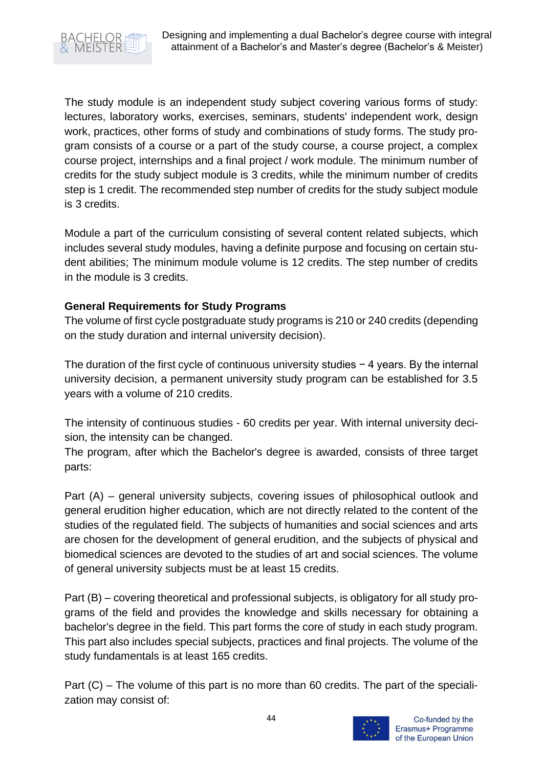

The study module is an independent study subject covering various forms of study: lectures, laboratory works, exercises, seminars, students' independent work, design work, practices, other forms of study and combinations of study forms. The study program consists of a course or a part of the study course, a course project, a complex course project, internships and a final project / work module. The minimum number of credits for the study subject module is 3 credits, while the minimum number of credits step is 1 credit. The recommended step number of credits for the study subject module is 3 credits.

Module a part of the curriculum consisting of several content related subjects, which includes several study modules, having a definite purpose and focusing on certain student abilities; The minimum module volume is 12 credits. The step number of credits in the module is 3 credits.

### **General Requirements for Study Programs**

The volume of first cycle postgraduate study programs is 210 or 240 credits (depending on the study duration and internal university decision).

The duration of the first cycle of continuous university studies − 4 years. By the internal university decision, a permanent university study program can be established for 3.5 years with a volume of 210 credits.

The intensity of continuous studies - 60 credits per year. With internal university decision, the intensity can be changed.

The program, after which the Bachelor's degree is awarded, consists of three target parts:

Part (A) – general university subjects, covering issues of philosophical outlook and general erudition higher education, which are not directly related to the content of the studies of the regulated field. The subjects of humanities and social sciences and arts are chosen for the development of general erudition, and the subjects of physical and biomedical sciences are devoted to the studies of art and social sciences. The volume of general university subjects must be at least 15 credits.

Part (B) – covering theoretical and professional subjects, is obligatory for all study programs of the field and provides the knowledge and skills necessary for obtaining a bachelor's degree in the field. This part forms the core of study in each study program. This part also includes special subjects, practices and final projects. The volume of the study fundamentals is at least 165 credits.

Part (C) – The volume of this part is no more than 60 credits. The part of the specialization may consist of:

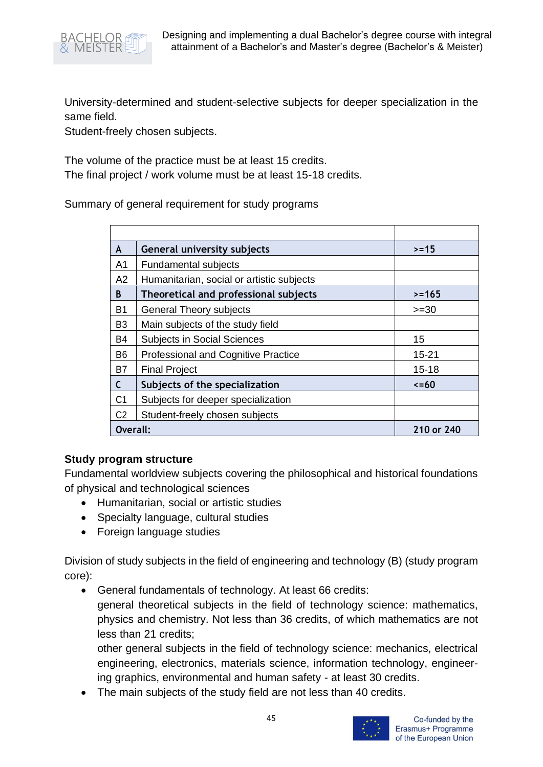

University-determined and student-selective subjects for deeper specialization in the same field.

Student-freely chosen subjects.

The volume of the practice must be at least 15 credits.

The final project / work volume must be at least 15-18 credits.

Summary of general requirement for study programs

| A              | <b>General university subjects</b>         | $> = 15$   |
|----------------|--------------------------------------------|------------|
| A <sub>1</sub> | <b>Fundamental subjects</b>                |            |
| A2             | Humanitarian, social or artistic subjects  |            |
| B              | Theoretical and professional subjects      | $>= 165$   |
| B1             | <b>General Theory subjects</b>             | $>=30$     |
| B <sub>3</sub> | Main subjects of the study field           |            |
| B4             | <b>Subjects in Social Sciences</b>         | 15         |
| B6             | <b>Professional and Cognitive Practice</b> | $15 - 21$  |
| B7             | <b>Final Project</b>                       | $15 - 18$  |
| С              | Subjects of the specialization             | $\le$ = 60 |
| C <sub>1</sub> | Subjects for deeper specialization         |            |
| C <sub>2</sub> | Student-freely chosen subjects             |            |
| Overall:       |                                            | 210 or 240 |

#### **Study program structure**

Fundamental worldview subjects covering the philosophical and historical foundations of physical and technological sciences

- Humanitarian, social or artistic studies
- Specialty language, cultural studies
- Foreign language studies

Division of study subjects in the field of engineering and technology (B) (study program core):

• General fundamentals of technology. At least 66 credits: general theoretical subjects in the field of technology science: mathematics, physics and chemistry. Not less than 36 credits, of which mathematics are not less than 21 credits;

other general subjects in the field of technology science: mechanics, electrical engineering, electronics, materials science, information technology, engineering graphics, environmental and human safety - at least 30 credits.

• The main subjects of the study field are not less than 40 credits.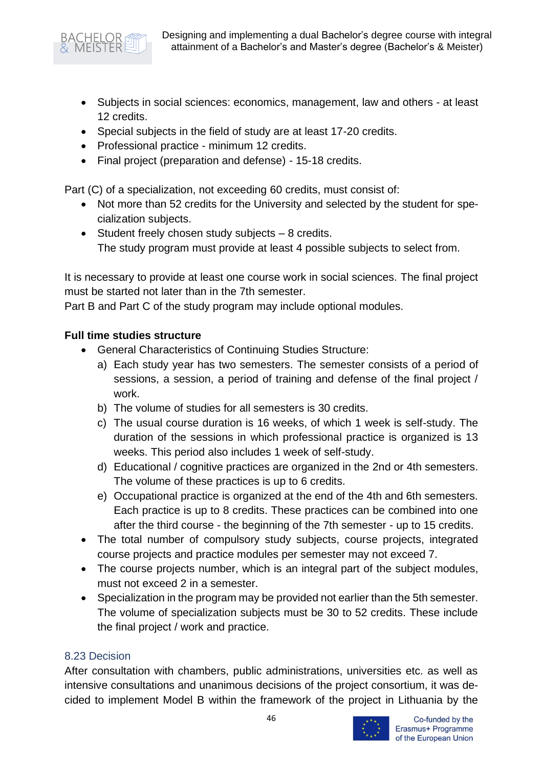

- Subjects in social sciences: economics, management, law and others at least 12 credits.
- Special subjects in the field of study are at least 17-20 credits.
- Professional practice minimum 12 credits.
- Final project (preparation and defense) 15-18 credits.

Part (C) of a specialization, not exceeding 60 credits, must consist of:

- Not more than 52 credits for the University and selected by the student for specialization subjects.
- Student freely chosen study subjects 8 credits. The study program must provide at least 4 possible subjects to select from.

It is necessary to provide at least one course work in social sciences. The final project must be started not later than in the 7th semester.

Part B and Part C of the study program may include optional modules.

### **Full time studies structure**

- General Characteristics of Continuing Studies Structure:
	- a) Each study year has two semesters. The semester consists of a period of sessions, a session, a period of training and defense of the final project / work.
	- b) The volume of studies for all semesters is 30 credits.
	- c) The usual course duration is 16 weeks, of which 1 week is self-study. The duration of the sessions in which professional practice is organized is 13 weeks. This period also includes 1 week of self-study.
	- d) Educational / cognitive practices are organized in the 2nd or 4th semesters. The volume of these practices is up to 6 credits.
	- e) Occupational practice is organized at the end of the 4th and 6th semesters. Each practice is up to 8 credits. These practices can be combined into one after the third course - the beginning of the 7th semester - up to 15 credits.
- The total number of compulsory study subjects, course projects, integrated course projects and practice modules per semester may not exceed 7.
- The course projects number, which is an integral part of the subject modules, must not exceed 2 in a semester.
- Specialization in the program may be provided not earlier than the 5th semester. The volume of specialization subjects must be 30 to 52 credits. These include the final project / work and practice.

#### <span id="page-46-0"></span>8.23 Decision

After consultation with chambers, public administrations, universities etc. as well as intensive consultations and unanimous decisions of the project consortium, it was decided to implement Model B within the framework of the project in Lithuania by the

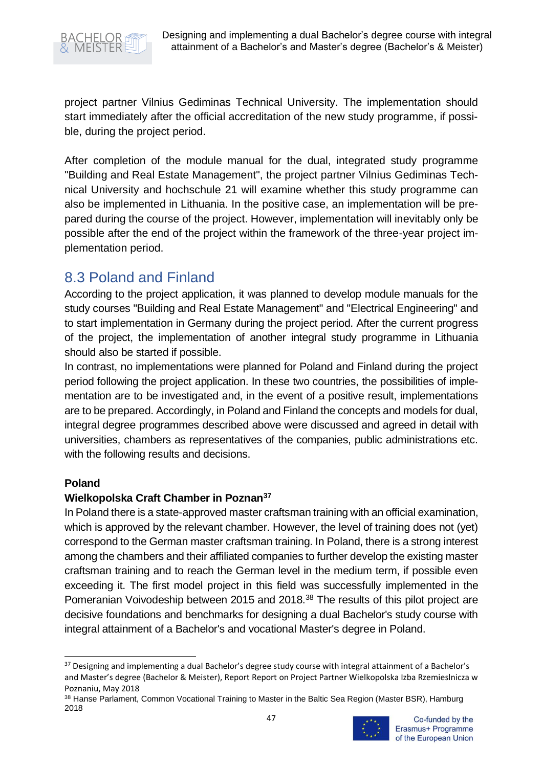

project partner Vilnius Gediminas Technical University. The implementation should start immediately after the official accreditation of the new study programme, if possible, during the project period.

After completion of the module manual for the dual, integrated study programme "Building and Real Estate Management", the project partner Vilnius Gediminas Technical University and hochschule 21 will examine whether this study programme can also be implemented in Lithuania. In the positive case, an implementation will be prepared during the course of the project. However, implementation will inevitably only be possible after the end of the project within the framework of the three-year project implementation period.

# <span id="page-47-0"></span>8.3 Poland and Finland

According to the project application, it was planned to develop module manuals for the study courses "Building and Real Estate Management" and "Electrical Engineering" and to start implementation in Germany during the project period. After the current progress of the project, the implementation of another integral study programme in Lithuania should also be started if possible.

In contrast, no implementations were planned for Poland and Finland during the project period following the project application. In these two countries, the possibilities of implementation are to be investigated and, in the event of a positive result, implementations are to be prepared. Accordingly, in Poland and Finland the concepts and models for dual, integral degree programmes described above were discussed and agreed in detail with universities, chambers as representatives of the companies, public administrations etc. with the following results and decisions.

#### **Poland**

#### **Wielkopolska Craft Chamber in Poznan<sup>37</sup>**

In Poland there is a state-approved master craftsman training with an official examination, which is approved by the relevant chamber. However, the level of training does not (yet) correspond to the German master craftsman training. In Poland, there is a strong interest among the chambers and their affiliated companies to further develop the existing master craftsman training and to reach the German level in the medium term, if possible even exceeding it. The first model project in this field was successfully implemented in the Pomeranian Voivodeship between 2015 and 2018.<sup>38</sup> The results of this pilot project are decisive foundations and benchmarks for designing a dual Bachelor's study course with integral attainment of a Bachelor's and vocational Master's degree in Poland.

<sup>&</sup>lt;sup>37</sup> Designing and implementing a dual Bachelor's degree study course with integral attainment of a Bachelor's and Master's degree (Bachelor & Meister), Report Report on Project Partner Wielkopolska Izba Rzemieslnicza w Poznaniu, May 2018

<sup>38</sup> Hanse Parlament, Common Vocational Training to Master in the Baltic Sea Region (Master BSR), Hamburg 2018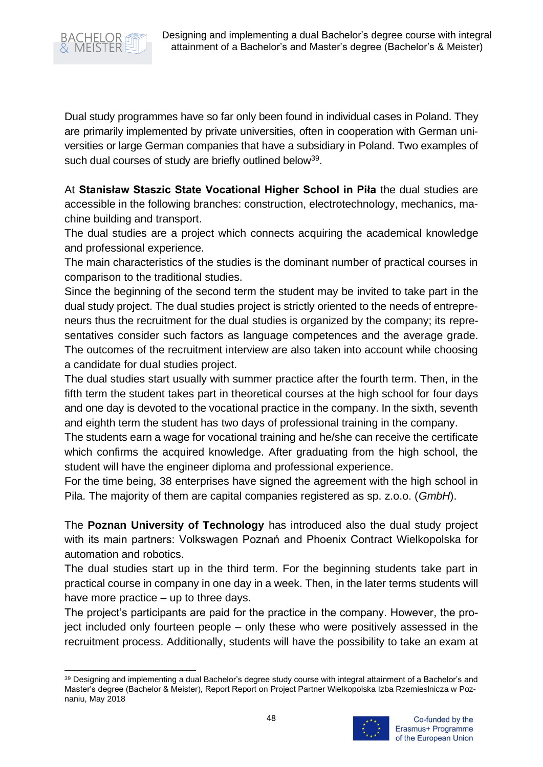

Dual study programmes have so far only been found in individual cases in Poland. They are primarily implemented by private universities, often in cooperation with German universities or large German companies that have a subsidiary in Poland. Two examples of such dual courses of study are briefly outlined below<sup>39</sup>.

At **Stanisław Staszic State Vocational Higher School in Piła** the dual studies are accessible in the following branches: construction, electrotechnology, mechanics, machine building and transport.

The dual studies are a project which connects acquiring the academical knowledge and professional experience.

The main characteristics of the studies is the dominant number of practical courses in comparison to the traditional studies.

Since the beginning of the second term the student may be invited to take part in the dual study project. The dual studies project is strictly oriented to the needs of entrepreneurs thus the recruitment for the dual studies is organized by the company; its representatives consider such factors as language competences and the average grade. The outcomes of the recruitment interview are also taken into account while choosing a candidate for dual studies project.

The dual studies start usually with summer practice after the fourth term. Then, in the fifth term the student takes part in theoretical courses at the high school for four days and one day is devoted to the vocational practice in the company. In the sixth, seventh and eighth term the student has two days of professional training in the company.

The students earn a wage for vocational training and he/she can receive the certificate which confirms the acquired knowledge. After graduating from the high school, the student will have the engineer diploma and professional experience.

For the time being, 38 enterprises have signed the agreement with the high school in Pila. The majority of them are capital companies registered as sp. z.o.o. (*GmbH*).

The **Poznan University of Technology** has introduced also the dual study project with its main partners: Volkswagen Poznań and Phoenix Contract Wielkopolska for automation and robotics.

The dual studies start up in the third term. For the beginning students take part in practical course in company in one day in a week. Then, in the later terms students will have more practice – up to three days.

The project's participants are paid for the practice in the company. However, the project included only fourteen people – only these who were positively assessed in the recruitment process. Additionally, students will have the possibility to take an exam at

<sup>39</sup> Designing and implementing a dual Bachelor's degree study course with integral attainment of a Bachelor's and Master's degree (Bachelor & Meister), Report Report on Project Partner Wielkopolska Izba Rzemieslnicza w Poznaniu, May 2018

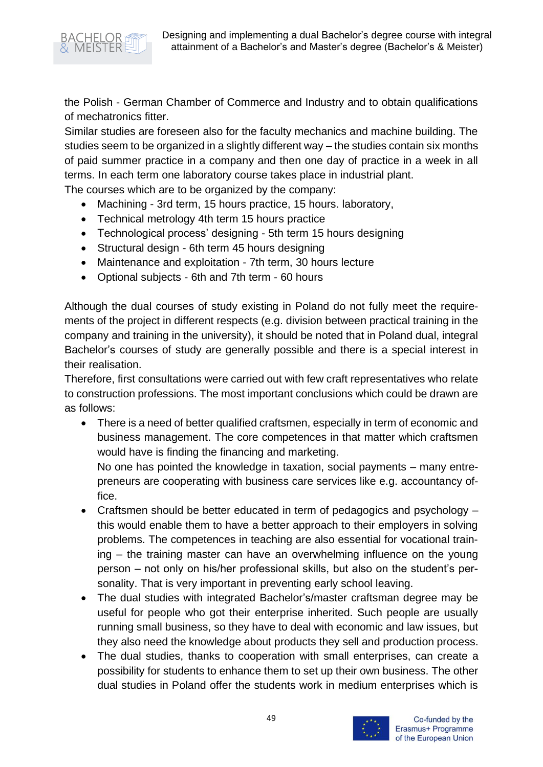



the Polish - German Chamber of Commerce and Industry and to obtain qualifications of mechatronics fitter.

Similar studies are foreseen also for the faculty mechanics and machine building. The studies seem to be organized in a slightly different way – the studies contain six months of paid summer practice in a company and then one day of practice in a week in all terms. In each term one laboratory course takes place in industrial plant.

The courses which are to be organized by the company:

- Machining 3rd term, 15 hours practice, 15 hours. laboratory,
- Technical metrology 4th term 15 hours practice
- Technological process' designing 5th term 15 hours designing
- Structural design 6th term 45 hours designing
- Maintenance and exploitation 7th term, 30 hours lecture
- Optional subjects 6th and 7th term 60 hours

Although the dual courses of study existing in Poland do not fully meet the requirements of the project in different respects (e.g. division between practical training in the company and training in the university), it should be noted that in Poland dual, integral Bachelor's courses of study are generally possible and there is a special interest in their realisation.

Therefore, first consultations were carried out with few craft representatives who relate to construction professions. The most important conclusions which could be drawn are as follows:

• There is a need of better qualified craftsmen, especially in term of economic and business management. The core competences in that matter which craftsmen would have is finding the financing and marketing.

No one has pointed the knowledge in taxation, social payments – many entrepreneurs are cooperating with business care services like e.g. accountancy office.

- Craftsmen should be better educated in term of pedagogics and psychology this would enable them to have a better approach to their employers in solving problems. The competences in teaching are also essential for vocational training – the training master can have an overwhelming influence on the young person – not only on his/her professional skills, but also on the student's personality. That is very important in preventing early school leaving.
- The dual studies with integrated Bachelor's/master craftsman degree may be useful for people who got their enterprise inherited. Such people are usually running small business, so they have to deal with economic and law issues, but they also need the knowledge about products they sell and production process.
- The dual studies, thanks to cooperation with small enterprises, can create a possibility for students to enhance them to set up their own business. The other dual studies in Poland offer the students work in medium enterprises which is

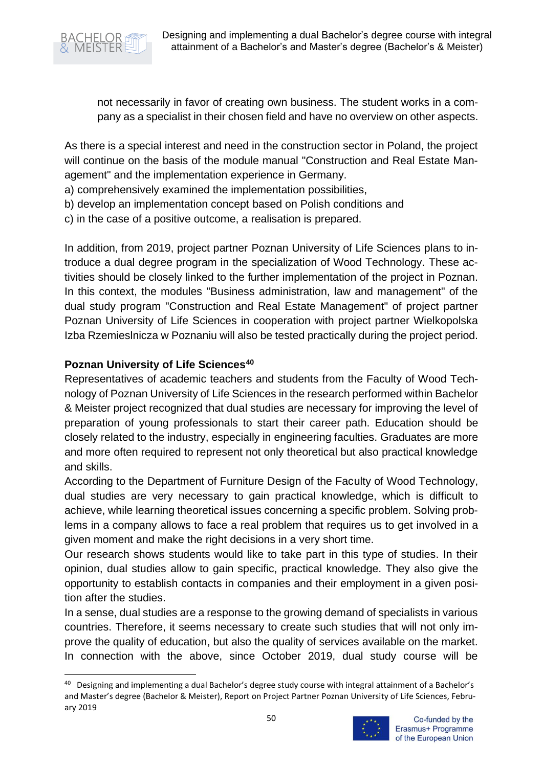

not necessarily in favor of creating own business. The student works in a company as a specialist in their chosen field and have no overview on other aspects.

As there is a special interest and need in the construction sector in Poland, the project will continue on the basis of the module manual "Construction and Real Estate Management" and the implementation experience in Germany.

a) comprehensively examined the implementation possibilities,

- b) develop an implementation concept based on Polish conditions and
- c) in the case of a positive outcome, a realisation is prepared.

In addition, from 2019, project partner Poznan University of Life Sciences plans to introduce a dual degree program in the specialization of Wood Technology. These activities should be closely linked to the further implementation of the project in Poznan. In this context, the modules "Business administration, law and management" of the dual study program "Construction and Real Estate Management" of project partner Poznan University of Life Sciences in cooperation with project partner Wielkopolska Izba Rzemieslnicza w Poznaniu will also be tested practically during the project period.

### **Poznan University of Life Sciences<sup>40</sup>**

Representatives of academic teachers and students from the Faculty of Wood Technology of Poznan University of Life Sciences in the research performed within Bachelor & Meister project recognized that dual studies are necessary for improving the level of preparation of young professionals to start their career path. Education should be closely related to the industry, especially in engineering faculties. Graduates are more and more often required to represent not only theoretical but also practical knowledge and skills.

According to the Department of Furniture Design of the Faculty of Wood Technology, dual studies are very necessary to gain practical knowledge, which is difficult to achieve, while learning theoretical issues concerning a specific problem. Solving problems in a company allows to face a real problem that requires us to get involved in a given moment and make the right decisions in a very short time.

Our research shows students would like to take part in this type of studies. In their opinion, dual studies allow to gain specific, practical knowledge. They also give the opportunity to establish contacts in companies and their employment in a given position after the studies.

In a sense, dual studies are a response to the growing demand of specialists in various countries. Therefore, it seems necessary to create such studies that will not only improve the quality of education, but also the quality of services available on the market. In connection with the above, since October 2019, dual study course will be

<sup>&</sup>lt;sup>40</sup> Designing and implementing a dual Bachelor's degree study course with integral attainment of a Bachelor's and Master's degree (Bachelor & Meister), Report on Project Partner Poznan University of Life Sciences, February 2019

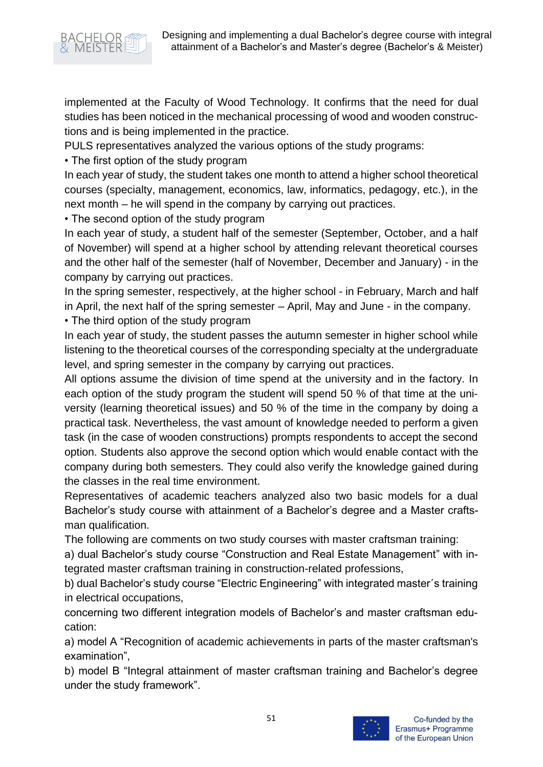

implemented at the Faculty of Wood Technology. It confirms that the need for dual studies has been noticed in the mechanical processing of wood and wooden constructions and is being implemented in the practice.

PULS representatives analyzed the various options of the study programs:

• The first option of the study program

In each year of study, the student takes one month to attend a higher school theoretical courses (specialty, management, economics, law, informatics, pedagogy, etc.), in the next month – he will spend in the company by carrying out practices.

• The second option of the study program

In each year of study, a student half of the semester (September, October, and a half of November) will spend at a higher school by attending relevant theoretical courses and the other half of the semester (half of November, December and January) - in the company by carrying out practices.

In the spring semester, respectively, at the higher school - in February, March and half in April, the next half of the spring semester – April, May and June - in the company. • The third option of the study program

In each year of study, the student passes the autumn semester in higher school while listening to the theoretical courses of the corresponding specialty at the undergraduate level, and spring semester in the company by carrying out practices.

All options assume the division of time spend at the university and in the factory. In each option of the study program the student will spend 50 % of that time at the university (learning theoretical issues) and 50 % of the time in the company by doing a practical task. Nevertheless, the vast amount of knowledge needed to perform a given task (in the case of wooden constructions) prompts respondents to accept the second option. Students also approve the second option which would enable contact with the company during both semesters. They could also verify the knowledge gained during the classes in the real time environment.

Representatives of academic teachers analyzed also two basic models for a dual Bachelor's study course with attainment of a Bachelor's degree and a Master craftsman qualification.

The following are comments on two study courses with master craftsman training:

a) dual Bachelor's study course "Construction and Real Estate Management" with integrated master craftsman training in construction-related professions,

b) dual Bachelor's study course "Electric Engineering" with integrated master´s training in electrical occupations,

concerning two different integration models of Bachelor's and master craftsman education:

a) model A "Recognition of academic achievements in parts of the master craftsman's examination",

b) model B "Integral attainment of master craftsman training and Bachelor's degree under the study framework".

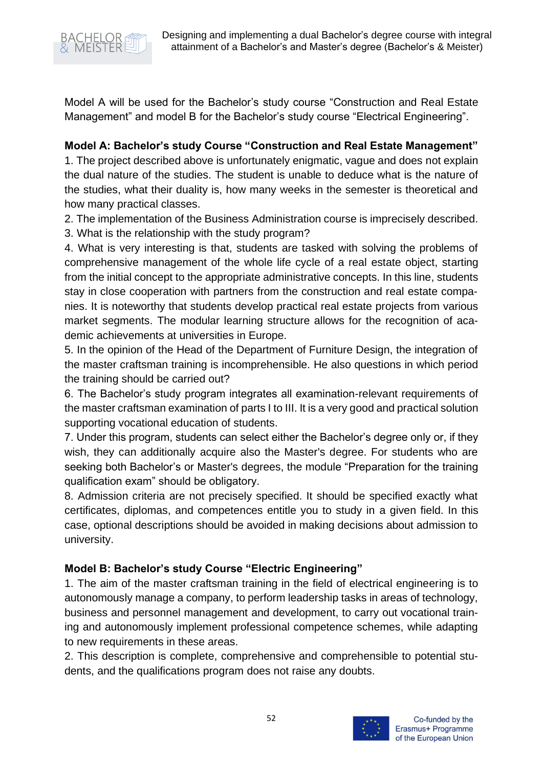

Model A will be used for the Bachelor's study course "Construction and Real Estate Management" and model B for the Bachelor's study course "Electrical Engineering".

**Model A: Bachelor's study Course "Construction and Real Estate Management"**

1. The project described above is unfortunately enigmatic, vague and does not explain the dual nature of the studies. The student is unable to deduce what is the nature of the studies, what their duality is, how many weeks in the semester is theoretical and how many practical classes.

2. The implementation of the Business Administration course is imprecisely described.

3. What is the relationship with the study program?

4. What is very interesting is that, students are tasked with solving the problems of comprehensive management of the whole life cycle of a real estate object, starting from the initial concept to the appropriate administrative concepts. In this line, students stay in close cooperation with partners from the construction and real estate companies. It is noteworthy that students develop practical real estate projects from various market segments. The modular learning structure allows for the recognition of academic achievements at universities in Europe.

5. In the opinion of the Head of the Department of Furniture Design, the integration of the master craftsman training is incomprehensible. He also questions in which period the training should be carried out?

6. The Bachelor's study program integrates all examination-relevant requirements of the master craftsman examination of parts I to III. It is a very good and practical solution supporting vocational education of students.

7. Under this program, students can select either the Bachelor's degree only or, if they wish, they can additionally acquire also the Master's degree. For students who are seeking both Bachelor's or Master's degrees, the module "Preparation for the training qualification exam" should be obligatory.

8. Admission criteria are not precisely specified. It should be specified exactly what certificates, diplomas, and competences entitle you to study in a given field. In this case, optional descriptions should be avoided in making decisions about admission to university.

## **Model B: Bachelor's study Course "Electric Engineering"**

1. The aim of the master craftsman training in the field of electrical engineering is to autonomously manage a company, to perform leadership tasks in areas of technology, business and personnel management and development, to carry out vocational training and autonomously implement professional competence schemes, while adapting to new requirements in these areas.

2. This description is complete, comprehensive and comprehensible to potential students, and the qualifications program does not raise any doubts.

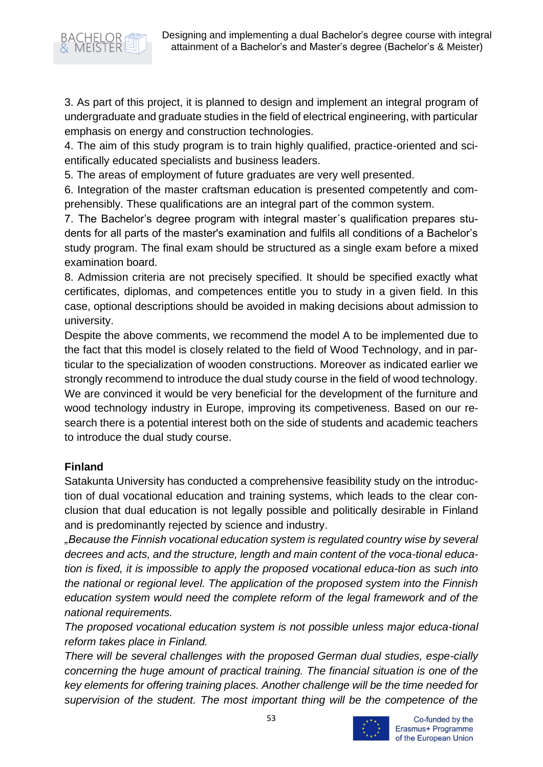

3. As part of this project, it is planned to design and implement an integral program of undergraduate and graduate studies in the field of electrical engineering, with particular emphasis on energy and construction technologies.

4. The aim of this study program is to train highly qualified, practice-oriented and scientifically educated specialists and business leaders.

5. The areas of employment of future graduates are very well presented.

6. Integration of the master craftsman education is presented competently and comprehensibly. These qualifications are an integral part of the common system.

7. The Bachelor's degree program with integral master´s qualification prepares students for all parts of the master's examination and fulfils all conditions of a Bachelor's study program. The final exam should be structured as a single exam before a mixed examination board.

8. Admission criteria are not precisely specified. It should be specified exactly what certificates, diplomas, and competences entitle you to study in a given field. In this case, optional descriptions should be avoided in making decisions about admission to university.

Despite the above comments, we recommend the model A to be implemented due to the fact that this model is closely related to the field of Wood Technology, and in particular to the specialization of wooden constructions. Moreover as indicated earlier we strongly recommend to introduce the dual study course in the field of wood technology. We are convinced it would be very beneficial for the development of the furniture and wood technology industry in Europe, improving its competiveness. Based on our research there is a potential interest both on the side of students and academic teachers to introduce the dual study course.

#### **Finland**

Satakunta University has conducted a comprehensive feasibility study on the introduction of dual vocational education and training systems, which leads to the clear conclusion that dual education is not legally possible and politically desirable in Finland and is predominantly rejected by science and industry.

*"Because the Finnish vocational education system is regulated country wise by several decrees and acts, and the structure, length and main content of the voca-tional education is fixed, it is impossible to apply the proposed vocational educa-tion as such into the national or regional level. The application of the proposed system into the Finnish education system would need the complete reform of the legal framework and of the national requirements.*

*The proposed vocational education system is not possible unless major educa-tional reform takes place in Finland.*

*There will be several challenges with the proposed German dual studies, espe-cially concerning the huge amount of practical training. The financial situation is one of the key elements for offering training places. Another challenge will be the time needed for supervision of the student. The most important thing will be the competence of the* 



Co-funded by the Erasmus+ Programme of the European Union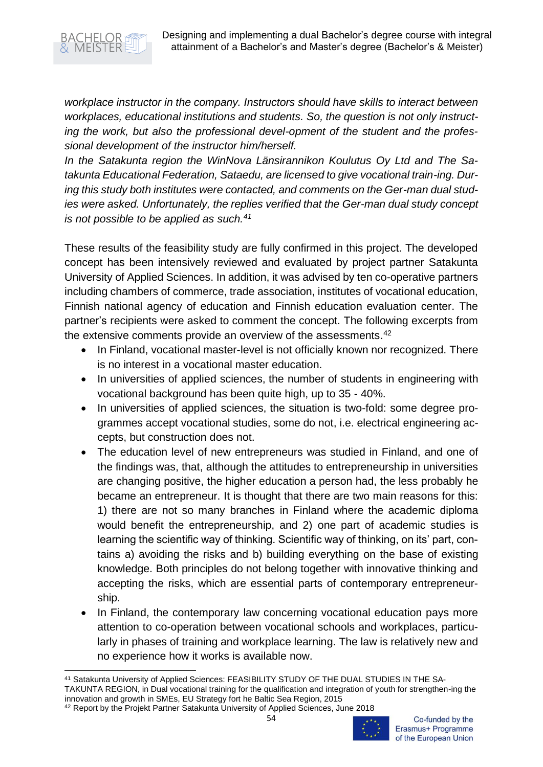

*workplace instructor in the company. Instructors should have skills to interact between workplaces, educational institutions and students. So, the question is not only instructing the work, but also the professional devel-opment of the student and the professional development of the instructor him/herself.*

*In the Satakunta region the WinNova Länsirannikon Koulutus Oy Ltd and The Satakunta Educational Federation, Sataedu, are licensed to give vocational train-ing. During this study both institutes were contacted, and comments on the Ger-man dual studies were asked. Unfortunately, the replies verified that the Ger-man dual study concept is not possible to be applied as such.<sup>41</sup>*

These results of the feasibility study are fully confirmed in this project. The developed concept has been intensively reviewed and evaluated by project partner Satakunta University of Applied Sciences. In addition, it was advised by ten co-operative partners including chambers of commerce, trade association, institutes of vocational education, Finnish national agency of education and Finnish education evaluation center. The partner's recipients were asked to comment the concept. The following excerpts from the extensive comments provide an overview of the assessments.<sup>42</sup>

- In Finland, vocational master-level is not officially known nor recognized. There is no interest in a vocational master education.
- In universities of applied sciences, the number of students in engineering with vocational background has been quite high, up to 35 - 40%.
- In universities of applied sciences, the situation is two-fold: some degree programmes accept vocational studies, some do not, i.e. electrical engineering accepts, but construction does not.
- The education level of new entrepreneurs was studied in Finland, and one of the findings was, that, although the attitudes to entrepreneurship in universities are changing positive, the higher education a person had, the less probably he became an entrepreneur. It is thought that there are two main reasons for this: 1) there are not so many branches in Finland where the academic diploma would benefit the entrepreneurship, and 2) one part of academic studies is learning the scientific way of thinking. Scientific way of thinking, on its' part, contains a) avoiding the risks and b) building everything on the base of existing knowledge. Both principles do not belong together with innovative thinking and accepting the risks, which are essential parts of contemporary entrepreneurship.
- In Finland, the contemporary law concerning vocational education pays more attention to co-operation between vocational schools and workplaces, particularly in phases of training and workplace learning. The law is relatively new and no experience how it works is available now.

TAKUNTA REGION, in Dual vocational training for the qualification and integration of youth for strengthen-ing the innovation and growth in SMEs, EU Strategy fort he Baltic Sea Region, 2015

<sup>41</sup> Satakunta University of Applied Sciences: FEASIBILITY STUDY OF THE DUAL STUDIES IN THE SA-

<sup>42</sup> Report by the Projekt Partner Satakunta University of Applied Sciences, June 2018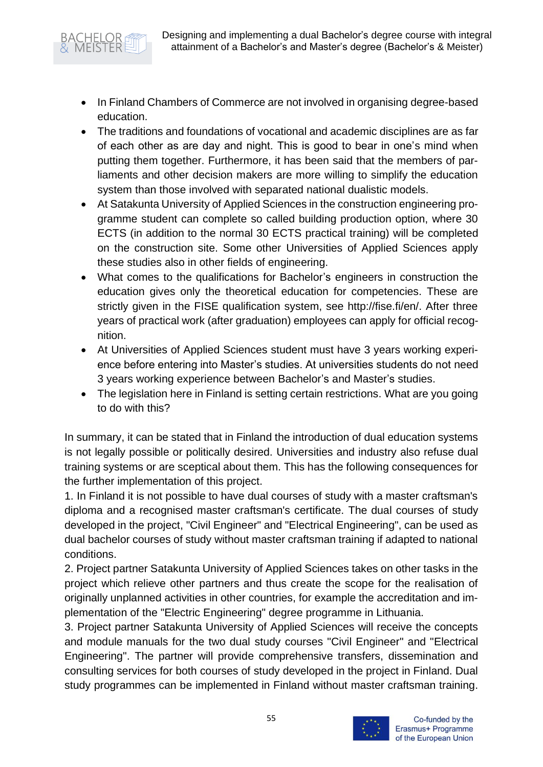- In Finland Chambers of Commerce are not involved in organising degree-based education.
- The traditions and foundations of vocational and academic disciplines are as far of each other as are day and night. This is good to bear in one's mind when putting them together. Furthermore, it has been said that the members of parliaments and other decision makers are more willing to simplify the education system than those involved with separated national dualistic models.
- At Satakunta University of Applied Sciences in the construction engineering programme student can complete so called building production option, where 30 ECTS (in addition to the normal 30 ECTS practical training) will be completed on the construction site. Some other Universities of Applied Sciences apply these studies also in other fields of engineering.
- What comes to the qualifications for Bachelor's engineers in construction the education gives only the theoretical education for competencies. These are strictly given in the FISE qualification system, see http://fise.fi/en/. After three years of practical work (after graduation) employees can apply for official recognition.
- At Universities of Applied Sciences student must have 3 years working experience before entering into Master's studies. At universities students do not need 3 years working experience between Bachelor's and Master's studies.
- The legislation here in Finland is setting certain restrictions. What are you going to do with this?

In summary, it can be stated that in Finland the introduction of dual education systems is not legally possible or politically desired. Universities and industry also refuse dual training systems or are sceptical about them. This has the following consequences for the further implementation of this project.

1. In Finland it is not possible to have dual courses of study with a master craftsman's diploma and a recognised master craftsman's certificate. The dual courses of study developed in the project, "Civil Engineer" and "Electrical Engineering", can be used as dual bachelor courses of study without master craftsman training if adapted to national conditions.

2. Project partner Satakunta University of Applied Sciences takes on other tasks in the project which relieve other partners and thus create the scope for the realisation of originally unplanned activities in other countries, for example the accreditation and implementation of the "Electric Engineering" degree programme in Lithuania.

3. Project partner Satakunta University of Applied Sciences will receive the concepts and module manuals for the two dual study courses "Civil Engineer" and "Electrical Engineering". The partner will provide comprehensive transfers, dissemination and consulting services for both courses of study developed in the project in Finland. Dual study programmes can be implemented in Finland without master craftsman training.